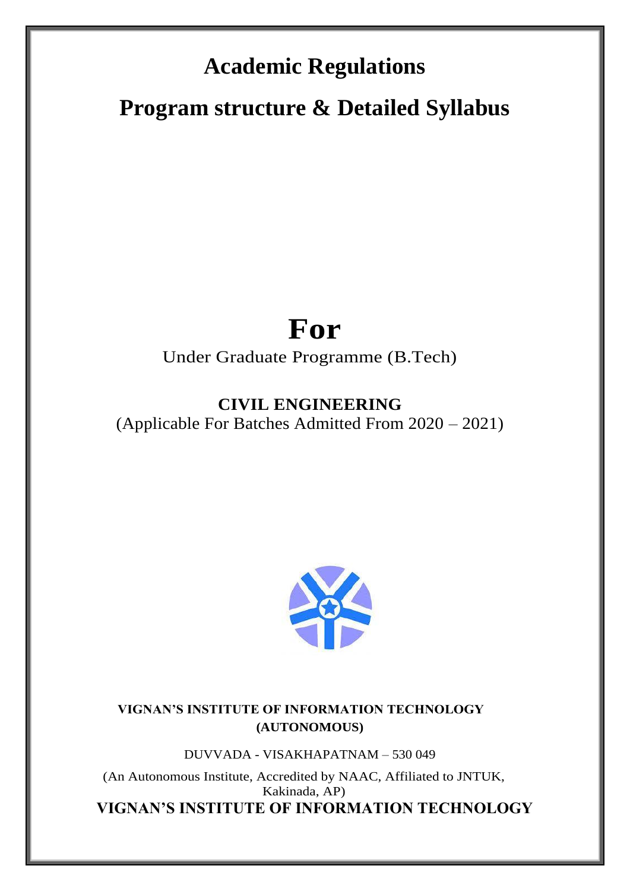# **Academic Regulations**

**Program structure & Detailed Syllabus** 

# **For**

# Under Graduate Programme (B.Tech)

# **CIVIL ENGINEERING**

(Applicable For Batches Admitted From 2020 – 2021)



**VIGNAN'S INSTITUTE OF INFORMATION TECHNOLOGY (AUTONOMOUS)**

DUVVADA - VISAKHAPATNAM – 530 049

(An Autonomous Institute, Accredited by NAAC, Affiliated to JNTUK, Kakinada, AP) **VIGNAN'S INSTITUTE OF INFORMATION TECHNOLOGY**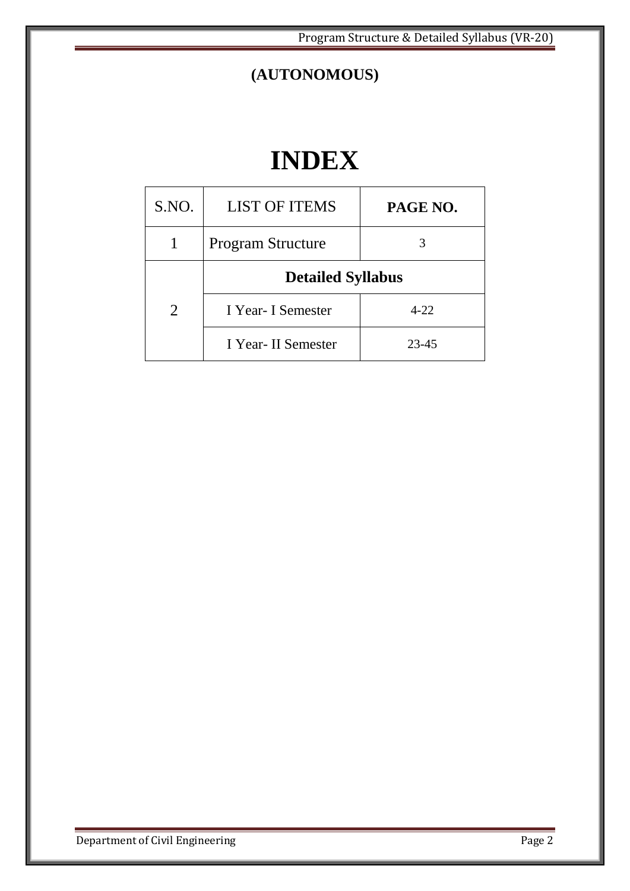Program Structure & Detailed Syllabus (VR-20)

# **(AUTONOMOUS)**

# **INDEX**

| S.NO.         | <b>LIST OF ITEMS</b>     | PAGE NO. |  |
|---------------|--------------------------|----------|--|
|               | <b>Program Structure</b> |          |  |
|               | <b>Detailed Syllabus</b> |          |  |
| $\mathcal{L}$ | I Year- I Semester       | $4 - 22$ |  |
|               | I Year-II Semester       | 23-45    |  |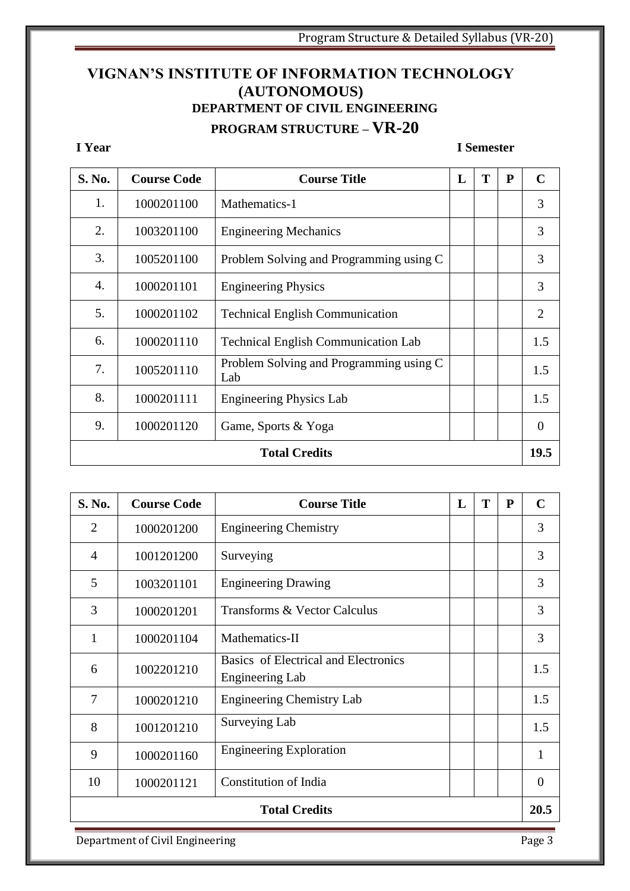# **VIGNAN'S INSTITUTE OF INFORMATION TECHNOLOGY (AUTONOMOUS) DEPARTMENT OF CIVIL ENGINEERING PROGRAM STRUCTURE – VR-20**

#### **I Year I Semester**

| S. No. | <b>Course Code</b> | <b>Course Title</b>                            | L | T | ${\bf P}$ | $\mathbf C$    |
|--------|--------------------|------------------------------------------------|---|---|-----------|----------------|
| 1.     | 1000201100         | Mathematics-1                                  |   |   |           | 3              |
| 2.     | 1003201100         | <b>Engineering Mechanics</b>                   |   |   |           | 3              |
| 3.     | 1005201100         | Problem Solving and Programming using C        |   |   |           | 3              |
| 4.     | 1000201101         | <b>Engineering Physics</b>                     |   |   |           | 3              |
| 5.     | 1000201102         | <b>Technical English Communication</b>         |   |   |           | 2              |
| 6.     | 1000201110         | <b>Technical English Communication Lab</b>     |   |   |           | 1.5            |
| 7.     | 1005201110         | Problem Solving and Programming using C<br>Lab |   |   |           | 1.5            |
| 8.     | 1000201111         | <b>Engineering Physics Lab</b>                 |   |   |           | 1.5            |
| 9.     | 1000201120         | Game, Sports & Yoga                            |   |   |           | $\overline{0}$ |
|        |                    | <b>Total Credits</b>                           |   |   |           | 19.5           |

| S. No.                       | <b>Course Code</b> | <b>Course Title</b>                                     |  | T | P | $\mathbf C$ |
|------------------------------|--------------------|---------------------------------------------------------|--|---|---|-------------|
| $\overline{2}$               | 1000201200         | <b>Engineering Chemistry</b>                            |  |   |   | 3           |
| $\overline{4}$               | 1001201200         | Surveying                                               |  |   |   | 3           |
| 5                            | 1003201101         | <b>Engineering Drawing</b>                              |  |   |   | 3           |
| 3                            | 1000201201         | Transforms & Vector Calculus                            |  |   |   | 3           |
| 1                            | 1000201104         | Mathematics-II                                          |  |   |   | 3           |
| 6                            | 1002201210         | Basics of Electrical and Electronics<br>Engineering Lab |  |   |   | 1.5         |
| 7                            | 1000201210         | <b>Engineering Chemistry Lab</b>                        |  |   |   | 1.5         |
| 8                            | 1001201210         | Surveying Lab                                           |  |   |   | 1.5         |
| 9                            | 1000201160         | <b>Engineering Exploration</b>                          |  |   |   | 1           |
| 10                           | 1000201121         | Constitution of India                                   |  |   |   | $\theta$    |
| 20.5<br><b>Total Credits</b> |                    |                                                         |  |   |   |             |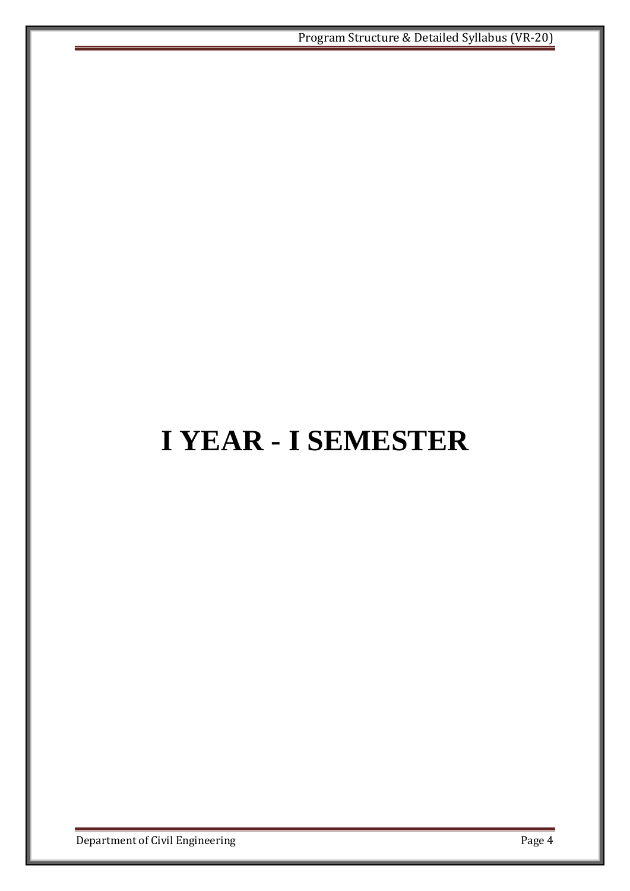# **I YEAR - I SEMESTER**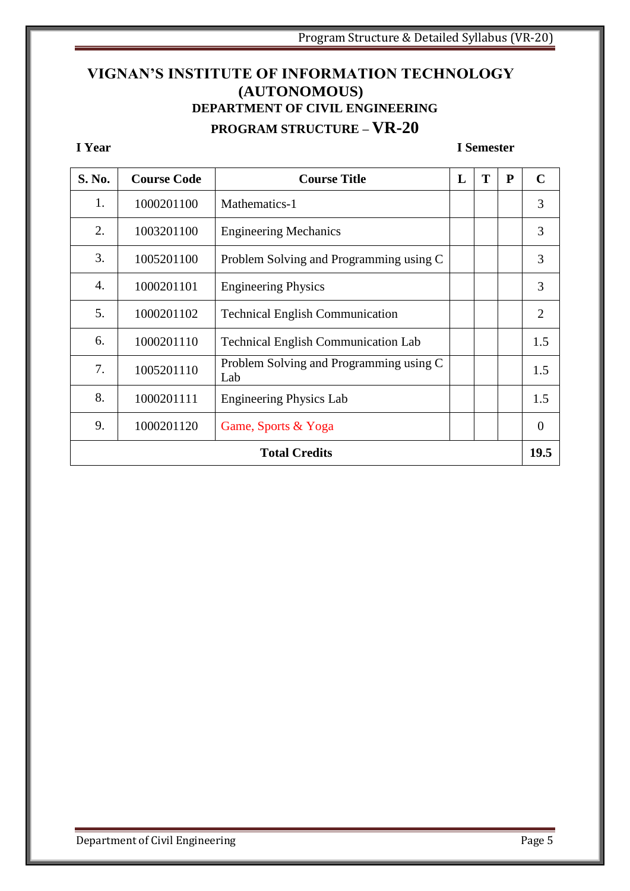# **VIGNAN'S INSTITUTE OF INFORMATION TECHNOLOGY (AUTONOMOUS) DEPARTMENT OF CIVIL ENGINEERING PROGRAM STRUCTURE – VR-20**

#### **I Year I Semester**

| S. No. | <b>Course Code</b> | <b>Course Title</b>                            | L | T | P | $\mathbf C$    |
|--------|--------------------|------------------------------------------------|---|---|---|----------------|
| 1.     | 1000201100         | Mathematics-1                                  |   |   |   | 3              |
| 2.     | 1003201100         | <b>Engineering Mechanics</b>                   |   |   |   | 3              |
| 3.     | 1005201100         | Problem Solving and Programming using C        |   |   |   | 3              |
| 4.     | 1000201101         | <b>Engineering Physics</b>                     |   |   |   | 3              |
| 5.     | 1000201102         | <b>Technical English Communication</b>         |   |   |   | $\overline{2}$ |
| 6.     | 1000201110         | <b>Technical English Communication Lab</b>     |   |   |   | 1.5            |
| 7.     | 1005201110         | Problem Solving and Programming using C<br>Lab |   |   |   | 1.5            |
| 8.     | 1000201111         | <b>Engineering Physics Lab</b>                 |   |   |   | 1.5            |
| 9.     | 1000201120         | Game, Sports & Yoga                            |   |   |   | $\theta$       |
|        |                    | <b>Total Credits</b>                           |   |   |   | 19.5           |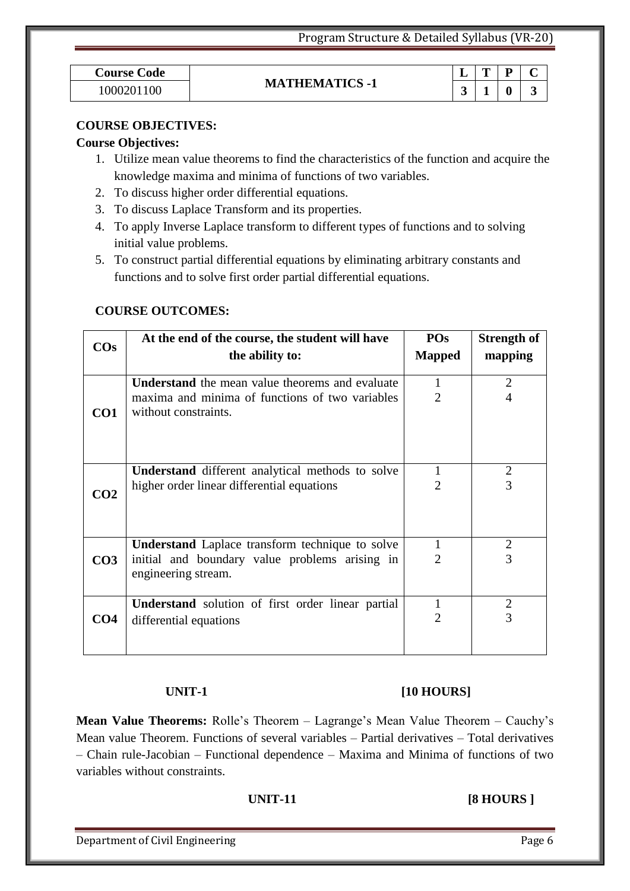| <b>Course Code</b> |
|--------------------|
| 1000201100         |

### **MATHEMATICS -1**

| <b>Course Code</b> |                       | . . | m |   |  |
|--------------------|-----------------------|-----|---|---|--|
| 1000201<br>$00\,$  | <b>MATHEMATICS -1</b> |     |   | 0 |  |

#### **COURSE OBJECTIVES:**

#### **Course Objectives:**

- 1. Utilize mean value theorems to find the characteristics of the function and acquire the knowledge maxima and minima of functions of two variables.
- 2. To discuss higher order differential equations.
- 3. To discuss Laplace Transform and its properties.
- 4. To apply Inverse Laplace transform to different types of functions and to solving initial value problems.
- 5. To construct partial differential equations by eliminating arbitrary constants and functions and to solve first order partial differential equations.

#### **COURSE OUTCOMES:**

| $\cos$          | At the end of the course, the student will have<br>the ability to:                                                                | POs<br><b>Mapped</b> | <b>Strength of</b><br>mapping    |
|-----------------|-----------------------------------------------------------------------------------------------------------------------------------|----------------------|----------------------------------|
| CO <sub>1</sub> | <b>Understand</b> the mean value theorems and evaluate<br>maxima and minima of functions of two variables<br>without constraints. | 1<br>2               | $\overline{2}$<br>$\overline{4}$ |
| CO <sub>2</sub> | Understand different analytical methods to solve<br>higher order linear differential equations                                    | 1<br>2               | 2<br>3                           |
| CO <sub>3</sub> | <b>Understand</b> Laplace transform technique to solve<br>initial and boundary value problems arising in<br>engineering stream.   | 1<br>2               | $\overline{2}$<br>3              |
| CO <sub>4</sub> | <b>Understand</b> solution of first order linear partial<br>differential equations                                                | $\overline{2}$       | $\overline{2}$<br>3              |

### **UNIT-1** [10 HOURS]

**Mean Value Theorems:** Rolle's Theorem – Lagrange's Mean Value Theorem – Cauchy's Mean value Theorem. Functions of several variables – Partial derivatives – Total derivatives – Chain rule-Jacobian – Functional dependence – Maxima and Minima of functions of two variables without constraints.

#### **UNIT-11** [8 HOURS ]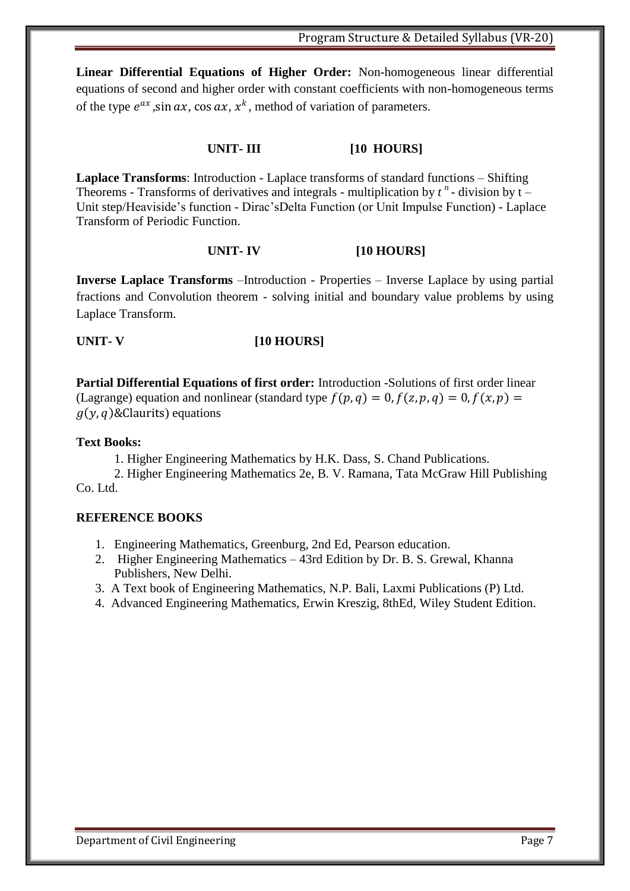**Linear Differential Equations of Higher Order:** Non-homogeneous linear differential equations of second and higher order with constant coefficients with non-homogeneous terms of the type  $e^{ax}$ , sin  $ax$ , cos  $ax$ ,  $x^k$ , method of variation of parameters.

#### **UNIT- III [10 HOURS]**

**Laplace Transforms**: Introduction - Laplace transforms of standard functions – Shifting Theorems - Transforms of derivatives and integrals - multiplication by  $t^n$  - division by  $t -$ Unit step/Heaviside's function - Dirac'sDelta Function (or Unit Impulse Function) - Laplace Transform of Periodic Function.

#### **UNIT- IV [10 HOURS]**

**Inverse Laplace Transforms** –Introduction - Properties – Inverse Laplace by using partial fractions and Convolution theorem - solving initial and boundary value problems by using Laplace Transform.

#### **UNIT- V [10 HOURS]**

**Partial Differential Equations of first order:** Introduction -Solutions of first order linear (Lagrange) equation and nonlinear (standard type  $f(p, q) = 0$ ,  $f(z, p, q) = 0$ ,  $f(x, p) = 0$  $g(y, q)$ &Claurits) equations

#### **Text Books:**

1. Higher Engineering Mathematics by H.K. Dass, S. Chand Publications.

2. Higher Engineering Mathematics 2e, B. V. Ramana, Tata McGraw Hill Publishing Co. Ltd.

#### **REFERENCE BOOKS**

- 1. Engineering Mathematics, Greenburg, 2nd Ed, Pearson education.
- 2. Higher Engineering Mathematics 43rd Edition by Dr. B. S. Grewal, Khanna Publishers, New Delhi.
- 3. A Text book of Engineering Mathematics, N.P. Bali, Laxmi Publications (P) Ltd.
- 4. Advanced Engineering Mathematics, Erwin Kreszig, 8thEd, Wiley Student Edition.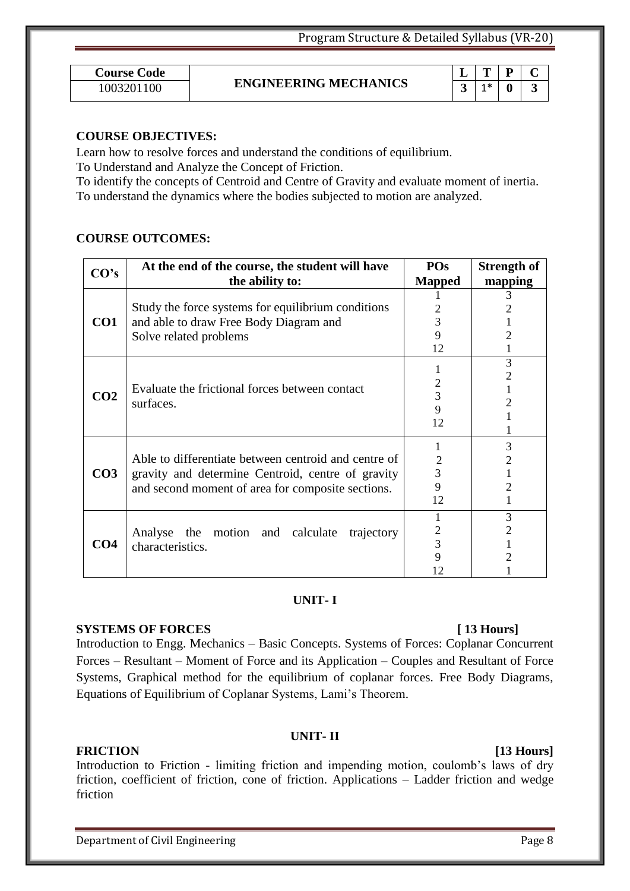| Course Code |  |
|-------------|--|
| 1003201100  |  |

# 1003201100 **ENGINEERING MECHANICS** 3 1\* 0 3

|   |     | υ |  |
|---|-----|---|--|
| × | $+$ |   |  |

#### **COURSE OBJECTIVES:**

Learn how to resolve forces and understand the conditions of equilibrium.

To Understand and Analyze the Concept of Friction.

To identify the concepts of Centroid and Centre of Gravity and evaluate moment of inertia. To understand the dynamics where the bodies subjected to motion are analyzed.

#### **COURSE OUTCOMES:**

|            | At the end of the course, the student will have      | <b>POs</b>     | <b>Strength of</b> |
|------------|------------------------------------------------------|----------------|--------------------|
| CO's       | the ability to:                                      | <b>Mapped</b>  | mapping            |
|            |                                                      |                | 3                  |
|            | Study the force systems for equilibrium conditions   |                |                    |
| CO1        | and able to draw Free Body Diagram and               | 3              |                    |
|            | Solve related problems                               | 9              |                    |
|            |                                                      | 12             |                    |
|            |                                                      |                | 3                  |
|            |                                                      |                | 2                  |
|            | Evaluate the frictional forces between contact       | 2              |                    |
| <b>CO2</b> | surfaces.                                            | 3              | 2                  |
|            |                                                      | 9              |                    |
|            |                                                      | 12             |                    |
|            |                                                      |                | 3                  |
|            | Able to differentiate between centroid and centre of | $\overline{2}$ | 2                  |
| <b>CO3</b> | gravity and determine Centroid, centre of gravity    | 3              |                    |
|            | and second moment of area for composite sections.    | 9              | 2                  |
|            |                                                      | 12             |                    |
|            |                                                      |                | 3                  |
|            | Analyse<br>the motion and calculate<br>trajectory    | 2              | 2                  |
| CO4        | characteristics.                                     | 3              |                    |
|            |                                                      | 9              |                    |
|            |                                                      |                |                    |

#### **UNIT- I**

#### **SYSTEMS OF FORCES [ 13 Hours]**

Introduction to Engg. Mechanics – Basic Concepts. Systems of Forces: Coplanar Concurrent Forces – Resultant – Moment of Force and its Application – Couples and Resultant of Force Systems, Graphical method for the equilibrium of coplanar forces. Free Body Diagrams, Equations of Equilibrium of Coplanar Systems, Lami's Theorem.

### **UNIT- II**

**FRICTION [13 Hours]** Introduction to Friction - limiting friction and impending motion, coulomb's laws of dry friction, coefficient of friction, cone of friction. Applications – Ladder friction and wedge friction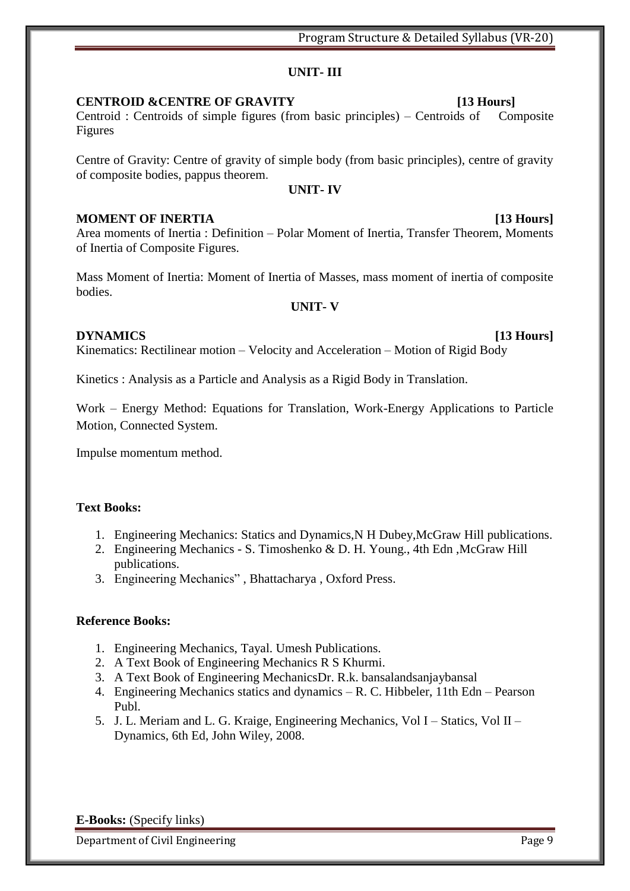### **UNIT- III**

### **CENTROID &CENTRE OF GRAVITY [13 Hours]**

Centroid : Centroids of simple figures (from basic principles) – Centroids of Composite Figures

Centre of Gravity: Centre of gravity of simple body (from basic principles), centre of gravity of composite bodies, pappus theorem.

### **UNIT- IV**

### **MOMENT OF INERTIA [13 Hours]**

Area moments of Inertia : Definition – Polar Moment of Inertia, Transfer Theorem, Moments of Inertia of Composite Figures.

Mass Moment of Inertia: Moment of Inertia of Masses, mass moment of inertia of composite bodies.

### **UNIT- V**

### **DYNAMICS [13 Hours]**

Kinematics: Rectilinear motion – Velocity and Acceleration – Motion of Rigid Body

Kinetics : Analysis as a Particle and Analysis as a Rigid Body in Translation.

Work – Energy Method: Equations for Translation, Work-Energy Applications to Particle Motion, Connected System.

Impulse momentum method.

### **Text Books:**

- 1. Engineering Mechanics: Statics and Dynamics,N H Dubey,McGraw Hill publications.
- 2. Engineering Mechanics S. Timoshenko & D. H. Young., 4th Edn ,McGraw Hill publications.
- 3. Engineering Mechanics", Bhattacharya, Oxford Press.

### **Reference Books:**

- 1. Engineering Mechanics, Tayal. Umesh Publications.
- 2. A Text Book of Engineering Mechanics R S Khurmi.
- 3. A Text Book of Engineering MechanicsDr. R.k. bansalandsanjaybansal
- 4. Engineering Mechanics statics and dynamics R. C. Hibbeler, 11th Edn Pearson Publ.
- 5. J. L. Meriam and L. G. Kraige, Engineering Mechanics, Vol I Statics, Vol II Dynamics, 6th Ed, John Wiley, 2008.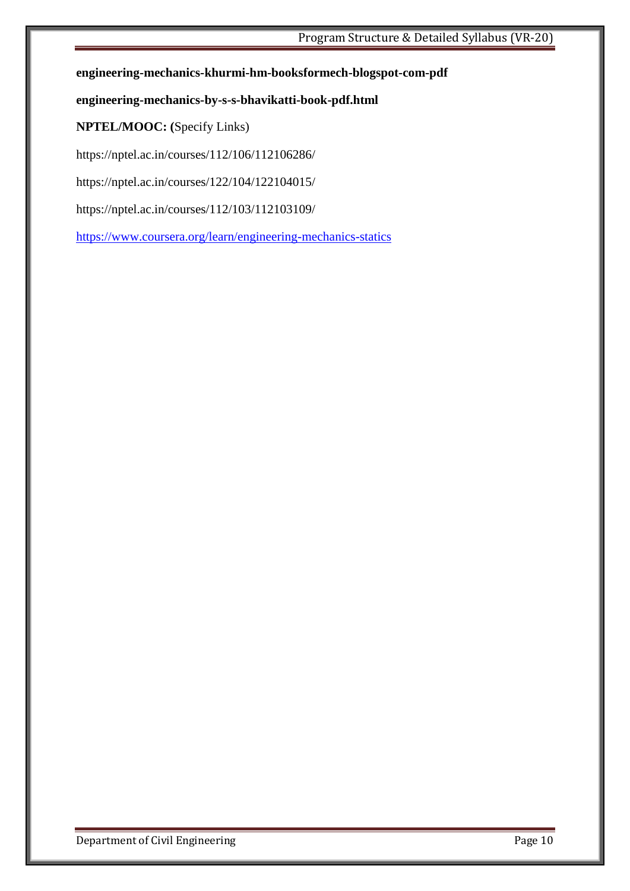#### **engineering-mechanics-khurmi-hm-booksformech-blogspot-com-pdf**

#### **engineering-mechanics-by-s-s-bhavikatti-book-pdf.html**

### **NPTEL/MOOC: (**Specify Links)

<https://nptel.ac.in/courses/112/106/112106286/>

<https://nptel.ac.in/courses/122/104/122104015/>

<https://nptel.ac.in/courses/112/103/112103109/>

<https://www.coursera.org/learn/engineering-mechanics-statics>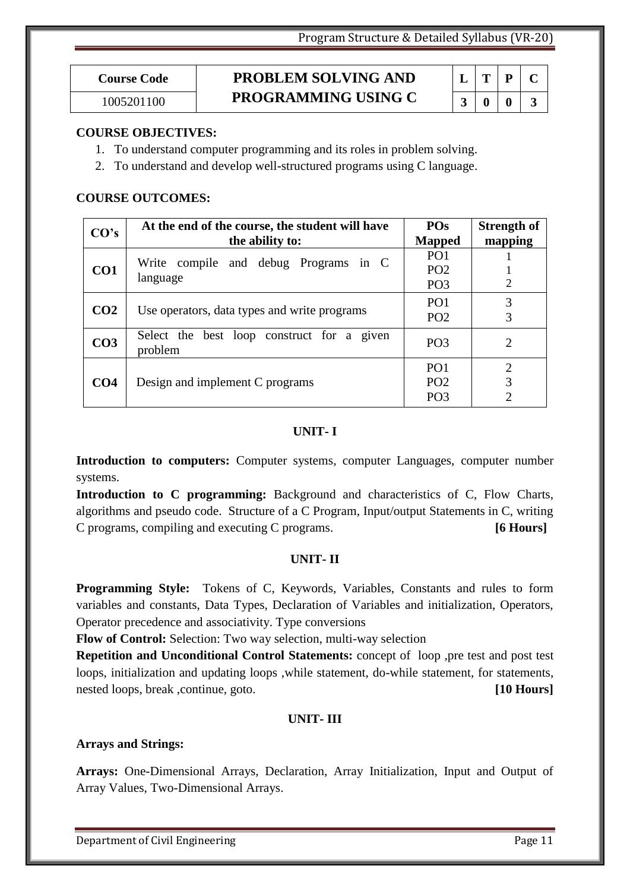# **Course Code PROBLEM SOLVING AND PROGRAMMING USING C** 3 0 3

| Ι. | T  | P | I. |
|----|----|---|----|
| 3  | 1) | o | 3  |

### **COURSE OBJECTIVES:**

- 1. To understand computer programming and its roles in problem solving.
- 2. To understand and develop well-structured programs using C language.

### **COURSE OUTCOMES:**

| CO's            | At the end of the course, the student will have<br>the ability to: | <b>POs</b><br><b>Mapped</b>                           | <b>Strength of</b><br>mapping |
|-----------------|--------------------------------------------------------------------|-------------------------------------------------------|-------------------------------|
| CO <sub>1</sub> | Write compile and debug Programs in C<br>language                  | PO <sub>1</sub><br>PO <sub>2</sub>                    |                               |
| CO <sub>2</sub> | Use operators, data types and write programs                       | PO <sub>3</sub><br>PO <sub>1</sub>                    | $\overline{2}$<br>3           |
| CO <sub>3</sub> | Select the best loop construct for a given<br>problem              | PO <sub>2</sub><br>PO <sub>3</sub>                    | 3<br>2                        |
| CO <sub>4</sub> | Design and implement C programs                                    | PO <sub>1</sub><br>PO <sub>2</sub><br>PO <sub>3</sub> | 2<br>3<br>$\overline{2}$      |

#### **UNIT- I**

**Introduction to computers:** Computer systems, computer Languages, computer number systems.

**Introduction to C programming:** Background and characteristics of C, Flow Charts, algorithms and pseudo code. Structure of a C Program, Input/output Statements in C, writing C programs, compiling and executing C programs. **[6 Hours]**

### **UNIT- II**

**Programming Style:** Tokens of C, Keywords, Variables, Constants and rules to form variables and constants, Data Types, Declaration of Variables and initialization, Operators, Operator precedence and associativity. Type conversions

**Flow of Control:** Selection: Two way selection, multi-way selection

**Repetition and Unconditional Control Statements:** concept of loop ,pre test and post test loops, initialization and updating loops ,while statement, do-while statement, for statements, nested loops, break ,continue, goto. **[10 Hours]**

### **UNIT- III**

### **Arrays and Strings:**

**Arrays:** One-Dimensional Arrays, Declaration, Array Initialization, Input and Output of Array Values, Two-Dimensional Arrays.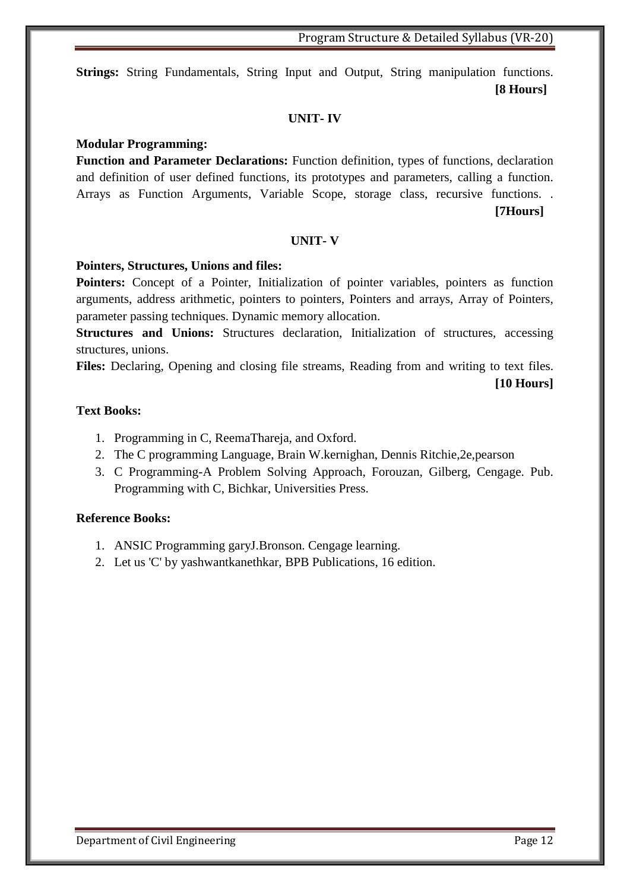**Strings:** String Fundamentals, String Input and Output, String manipulation functions. **[8 Hours]**

#### **UNIT- IV**

#### **Modular Programming:**

**Function and Parameter Declarations:** Function definition, types of functions, declaration and definition of user defined functions, its prototypes and parameters, calling a function. Arrays as Function Arguments, Variable Scope, storage class, recursive functions. . **[7Hours]**

#### **UNIT- V**

#### **Pointers, Structures, Unions and files:**

**Pointers:** Concept of a Pointer, Initialization of pointer variables, pointers as function arguments, address arithmetic, pointers to pointers, Pointers and arrays, Array of Pointers, parameter passing techniques. Dynamic memory allocation.

**Structures and Unions:** Structures declaration, Initialization of structures, accessing structures, unions.

Files: Declaring, Opening and closing file streams, Reading from and writing to text files.

#### **[10 Hours]**

#### **Text Books:**

- 1. Programming in C, ReemaThareja, and Oxford.
- 2. The C programming Language, Brain W.kernighan, Dennis Ritchie,2e,pearson
- 3. C Programming-A Problem Solving Approach, Forouzan, Gilberg, Cengage. Pub. Programming with C, Bichkar, Universities Press.

#### **Reference Books:**

- 1. ANSIC Programming garyJ.Bronson. Cengage learning.
- 2. Let us 'C' by yashwantkanethkar, BPB Publications, 16 edition.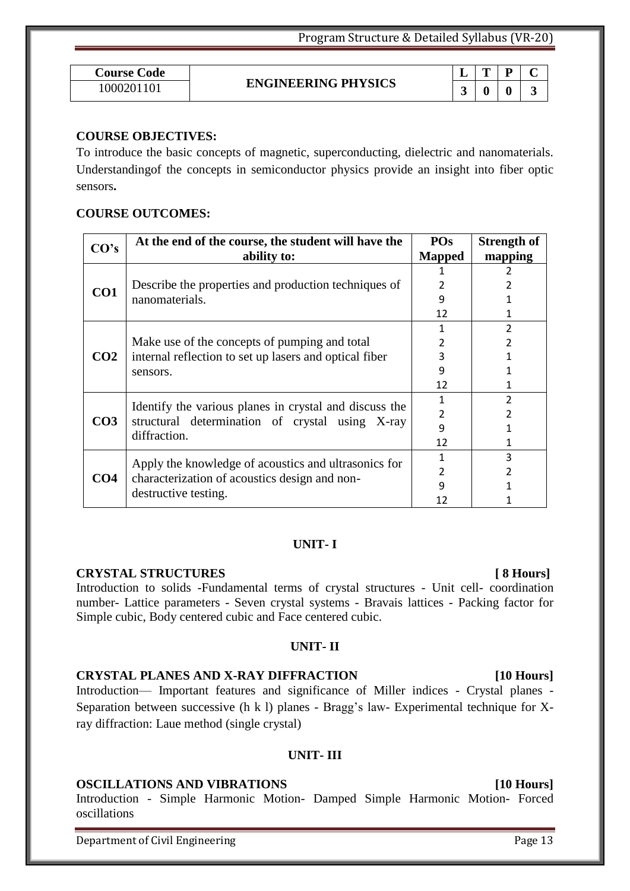| <b>Course Code</b> |                            |   | m | D                |   |
|--------------------|----------------------------|---|---|------------------|---|
| 1000201101         | <b>ENGINEERING PHYSICS</b> | ັ | 0 | $\boldsymbol{0}$ | ັ |

#### **COURSE OBJECTIVES:**

To introduce the basic concepts of magnetic, superconducting, dielectric and nanomaterials. Understandingof the concepts in semiconductor physics provide an insight into fiber optic sensors**.**

#### **COURSE OUTCOMES:**

| CO's            | At the end of the course, the student will have the             | <b>POs</b>    | <b>Strength of</b> |
|-----------------|-----------------------------------------------------------------|---------------|--------------------|
|                 | ability to:                                                     | <b>Mapped</b> | mapping            |
|                 |                                                                 |               |                    |
| CO <sub>1</sub> | Describe the properties and production techniques of            |               |                    |
|                 | nanomaterials.                                                  | 9             |                    |
|                 |                                                                 | 12            |                    |
|                 |                                                                 |               | C.                 |
|                 | Make use of the concepts of pumping and total                   | 2             | 2                  |
| CO <sub>2</sub> | internal reflection to set up lasers and optical fiber          | 3             |                    |
|                 | sensors.                                                        | 9             |                    |
|                 |                                                                 | 12            |                    |
|                 | Identify the various planes in crystal and discuss the          |               | 2                  |
| CO <sub>3</sub> | structural determination of crystal using X-ray<br>diffraction. | 2             |                    |
|                 |                                                                 | 9             |                    |
|                 |                                                                 | 12            |                    |
|                 | Apply the knowledge of acoustics and ultrasonics for            |               | 3                  |
| CO <sub>4</sub> | characterization of acoustics design and non-                   | 2             |                    |
|                 |                                                                 | 9             |                    |
|                 | destructive testing.                                            | 12            |                    |

#### **UNIT- I**

#### **CRYSTAL STRUCTURES [ 8 Hours]**

Introduction to solids -Fundamental terms of crystal structures - Unit cell- coordination number- Lattice parameters - Seven crystal systems - Bravais lattices - Packing factor for Simple cubic, Body centered cubic and Face centered cubic.

### **UNIT- II**

### **CRYSTAL PLANES AND X-RAY DIFFRACTION [10 Hours]**

Introduction— Important features and significance of Miller indices - Crystal planes - Separation between successive (h k l) planes - Bragg's law- Experimental technique for Xray diffraction: Laue method (single crystal)

### **UNIT- III**

#### **OSCILLATIONS AND VIBRATIONS [10 Hours]**

Introduction - Simple Harmonic Motion- Damped Simple Harmonic Motion- Forced oscillations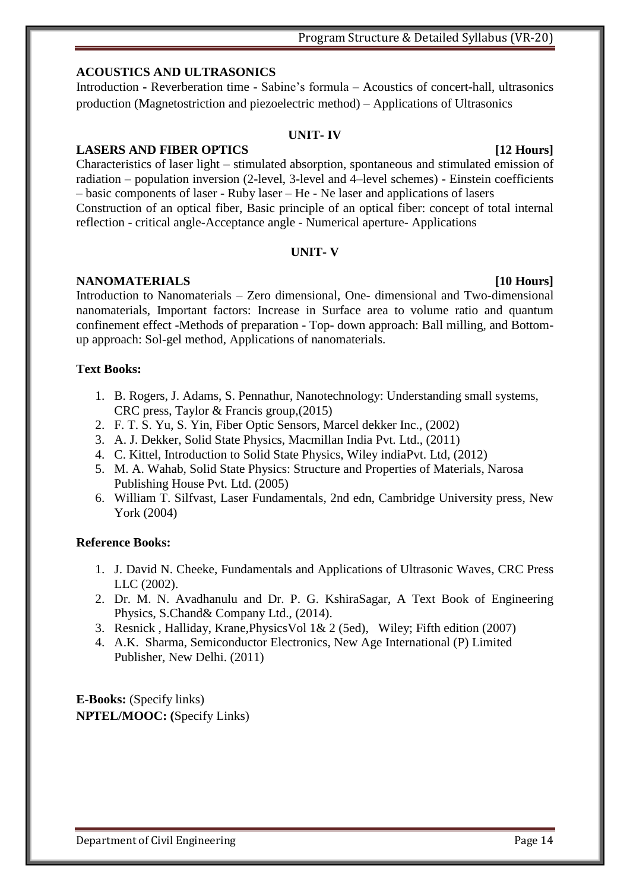### Program Structure & Detailed Syllabus (VR-20)

### **ACOUSTICS AND ULTRASONICS**

Introduction **-** Reverberation time - Sabine's formula – Acoustics of concert-hall, ultrasonics production (Magnetostriction and piezoelectric method) – Applications of Ultrasonics

#### **UNIT- IV**

### **LASERS AND FIBER OPTICS [12 Hours]**

Characteristics of laser light – stimulated absorption, spontaneous and stimulated emission of radiation – population inversion (2-level, 3-level and 4–level schemes) - Einstein coefficients – basic components of laser - Ruby laser – He - Ne laser and applications of lasers Construction of an optical fiber, Basic principle of an optical fiber: concept of total internal reflection - critical angle-Acceptance angle - Numerical aperture- Applications

#### **UNIT- V**

#### **NANOMATERIALS [10 Hours]**

Introduction to Nanomaterials – Zero dimensional, One- dimensional and Two-dimensional nanomaterials, Important factors: Increase in Surface area to volume ratio and quantum confinement effect -Methods of preparation - Top- down approach: Ball milling, and Bottomup approach: Sol-gel method, Applications of nanomaterials.

### **Text Books:**

- 1. B. Rogers, J. Adams, S. Pennathur, [Nanotechnology: Understanding small systems,](https://www.amazon.in/NANO-Essentials-Understanding-Nanoscience-Nanotechnology/dp/0070617880/ref=sr_1_2?crid=6D6QHZ1OY6SS&keywords=introduction+to+nanoscience+and+nanotechnology&qid=1558063037&s=gateway&sprefix=introduction+to+nano+%2Caps%2C332&sr=8-2)  [CRC press, Taylor & Francis group,](https://www.amazon.in/NANO-Essentials-Understanding-Nanoscience-Nanotechnology/dp/0070617880/ref=sr_1_2?crid=6D6QHZ1OY6SS&keywords=introduction+to+nanoscience+and+nanotechnology&qid=1558063037&s=gateway&sprefix=introduction+to+nano+%2Caps%2C332&sr=8-2)(2015)
- 2. F. T. S. Yu, S. Yin, Fiber Optic Sensors, Marcel dekker Inc., (2002)
- 3. A. J. Dekker, Solid State Physics, Macmillan India Pvt. Ltd., (2011)
- 4. C. Kittel, Introduction to Solid State Physics, Wiley indiaPvt. Ltd, (2012)
- 5. M. A. Wahab, Solid State Physics: Structure and Properties of Materials, Narosa Publishing House Pvt. Ltd. (2005)
- 6. William T. Silfvast, Laser Fundamentals, 2nd edn, Cambridge University press, New York (2004)

### **Reference Books:**

- 1. J. David N. Cheeke, Fundamentals and Applications of Ultrasonic Waves, CRC Press LLC (2002).
- 2. Dr. M. N. Avadhanulu and Dr. P. G. KshiraSagar, A Text Book of Engineering Physics, S.Chand& Company Ltd., (2014).
- 3. [Resnick](https://www.amazon.in/s/ref=dp_byline_sr_book_1?ie=UTF8&field-author=Resnick&search-alias=stripbooks) , [Halliday,](https://www.amazon.in/s/ref=dp_byline_sr_book_2?ie=UTF8&field-author=Halliday&search-alias=stripbooks) [Krane,](https://www.amazon.in/s/ref=dp_byline_sr_book_3?ie=UTF8&field-author=Krane&search-alias=stripbooks)PhysicsVol 1& 2 (5ed), Wiley; Fifth edition (2007)
- 4. A.K. Sharma, Semiconductor Electronics, New Age International (P) Limited Publisher, New Delhi. (2011)

**E-Books:** (Specify links) **NPTEL/MOOC: (**Specify Links)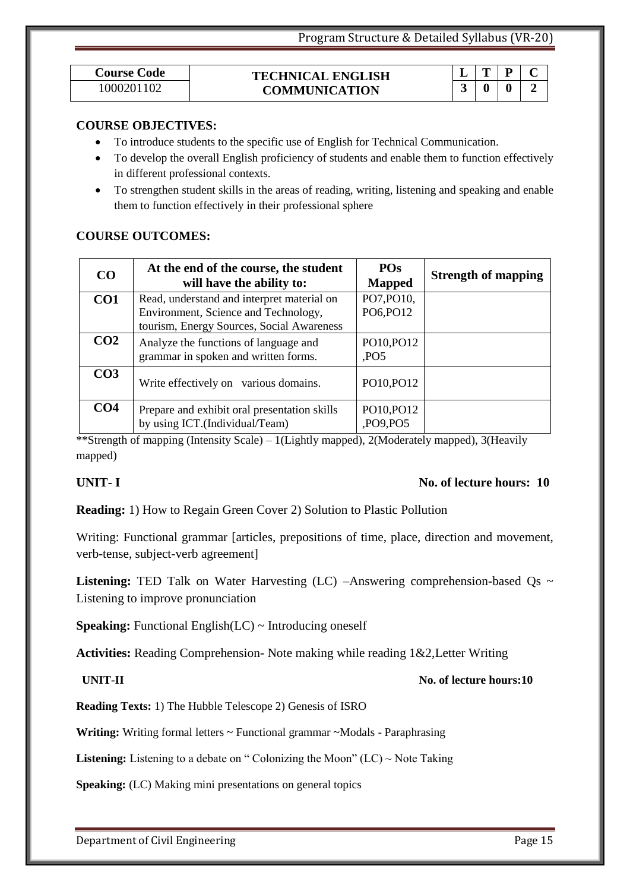$L | T | P | C$ 

|                                    |  |  |  | <b>Listening:</b> TED Talk on Water Harvesting (LC) -Answering comprehension-based Qs $\sim$ |  |
|------------------------------------|--|--|--|----------------------------------------------------------------------------------------------|--|
| Listening to improve pronunciation |  |  |  |                                                                                              |  |

Writing: Functional grammar [articles, prepositions of time, place, direction and movement,

|  |  | <b>Speaking:</b> Functional English( $LC$ ) ~ Introducing oneself |
|--|--|-------------------------------------------------------------------|
|--|--|-------------------------------------------------------------------|

verb-tense, subject-verb agreement]

**Activities:** Reading Comprehension- Note making while reading 1&2,Letter Writing

Department of Civil Engineering Page 15

| <b>COURSE OBJECTIVES:</b> |
|---------------------------|
|                           |

To introduce students to the specific use of English for Technical Communication.

**Course Code TECHNICAL ENGLISH** 

 To develop the overall English proficiency of students and enable them to function effectively in different professional contexts.

1000201102 **3 0 0 2 COMMUNICATION** 

 To strengthen student skills in the areas of reading, writing, listening and speaking and enable them to function effectively in their professional sphere

#### **COURSE OUTCOMES:**

| CO              | At the end of the course, the student<br>will have the ability to:                                                              | <b>POs</b><br><b>Mapped</b>   | <b>Strength of mapping</b> |
|-----------------|---------------------------------------------------------------------------------------------------------------------------------|-------------------------------|----------------------------|
| CO <sub>1</sub> | Read, understand and interpret material on<br>Environment, Science and Technology,<br>tourism, Energy Sources, Social Awareness | PO7, PO10,<br>PO6, PO12       |                            |
| CO <sub>2</sub> | Analyze the functions of language and<br>grammar in spoken and written forms.                                                   | PO10, PO12<br>P <sub>OS</sub> |                            |
| CO <sub>3</sub> | Write effectively on various domains.                                                                                           | PO10, PO12                    |                            |
| CO <sub>4</sub> | Prepare and exhibit oral presentation skills<br>by using ICT.(Individual/Team)                                                  | PO10, PO12<br>,PO9,PO5        |                            |

\*\*Strength of mapping (Intensity Scale) – 1(Lightly mapped), 2(Moderately mapped), 3(Heavily mapped)

### **UNIT- I** No. of lecture hours: 10

#### **INIT-II** No. of lecture hours:10

**Reading Texts:** 1) The Hubble Telescope 2) Genesis of ISRO

**Writing:** Writing formal letters ~ Functional grammar ~Modals - Paraphrasing

**Reading:** 1) How to Regain Green Cover 2) Solution to Plastic Pollution

**Listening:** Listening to a debate on "Colonizing the Moon" (LC)  $\sim$  Note Taking

**Speaking:** (LC) Making mini presentations on general topics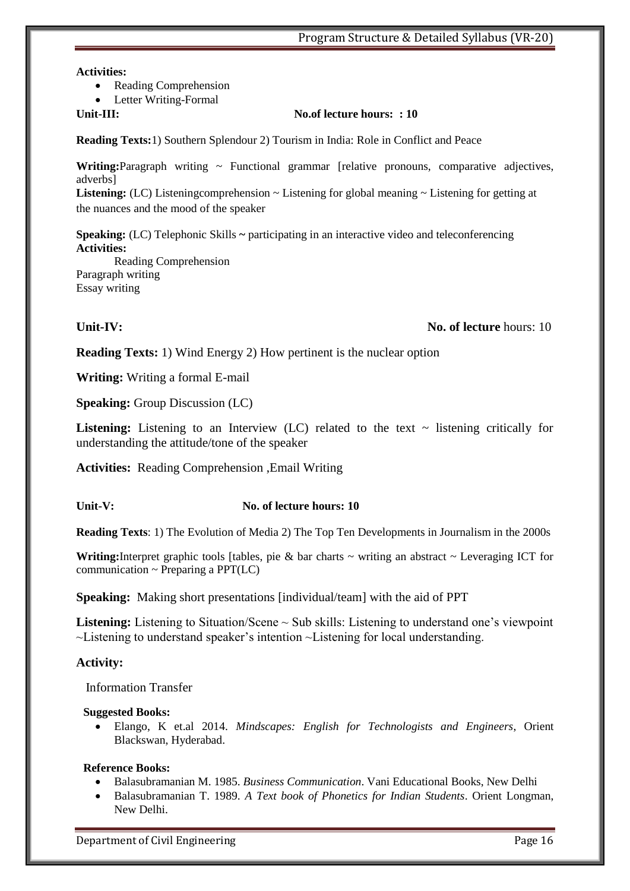#### **Activities:**

• Reading Comprehension

Letter Writing-Formal

#### **Unit-III: No.of lecture hours: : 10**

**Reading Texts:**1) Southern Splendour 2) Tourism in India: Role in Conflict and Peace

Writing: Paragraph writing ~ Functional grammar [relative pronouns, comparative adjectives, adverbs]

Listening: (LC) Listening comprehension ~ Listening for global meaning ~ Listening for getting at the nuances and the mood of the speaker

**Speaking:** (LC) Telephonic Skills **~** participating in an interactive video and teleconferencing **Activities:** 

Reading Comprehension Paragraph writing Essay writing

#### **Unit-IV:** No. of lecture hours: 10

**Reading Texts:** 1) Wind Energy 2) How pertinent is the nuclear option

**Writing:** Writing a formal E-mail

**Speaking:** Group Discussion (LC)

**Listening:** Listening to an Interview (LC) related to the text  $\sim$  listening critically for understanding the attitude/tone of the speaker

**Activities:** Reading Comprehension ,Email Writing

#### **Unit-V:** No. of lecture hours: 10

**Reading Texts**: 1) The Evolution of Media 2) The Top Ten Developments in Journalism in the 2000s

Writing:Interpret graphic tools [tables, pie & bar charts ~ writing an abstract ~ Leveraging ICT for communication  $\sim$  Preparing a PPT(LC)

**Speaking:** Making short presentations [individual/team] with the aid of PPT

**Listening:** Listening to Situation/Scene ~ Sub skills: Listening to understand one's viewpoint ~Listening to understand speaker's intention ~Listening for local understanding.

#### **Activity:**

Information Transfer

#### **Suggested Books:**

 Elango, K et.al 2014. *Mindscapes: English for Technologists and Engineers*, Orient Blackswan, Hyderabad.

#### **Reference Books:**

- Balasubramanian M. 1985. *Business Communication*. Vani Educational Books, New Delhi
- Balasubramanian T. 1989. *A Text book of Phonetics for Indian Students*. Orient Longman, New Delhi.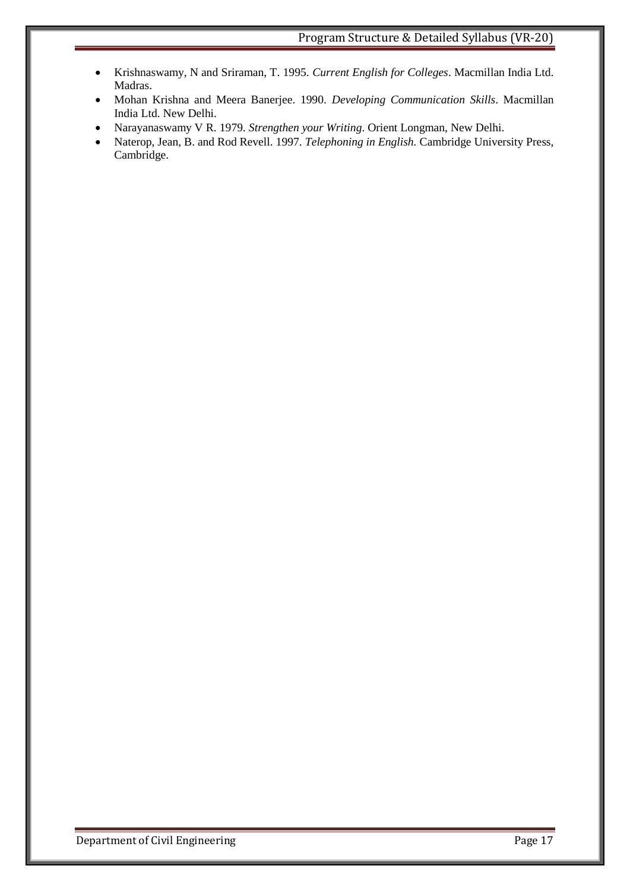- Krishnaswamy, N and Sriraman, T. 1995. *Current English for Colleges*. Macmillan India Ltd. Madras.
- Mohan Krishna and Meera Banerjee. 1990. *Developing Communication Skills*. Macmillan India Ltd. New Delhi.
- Narayanaswamy V R. 1979. *Strengthen your Writing*. Orient Longman, New Delhi.
- Naterop, Jean, B. and Rod Revell. 1997. *Telephoning in English.* Cambridge University Press, Cambridge.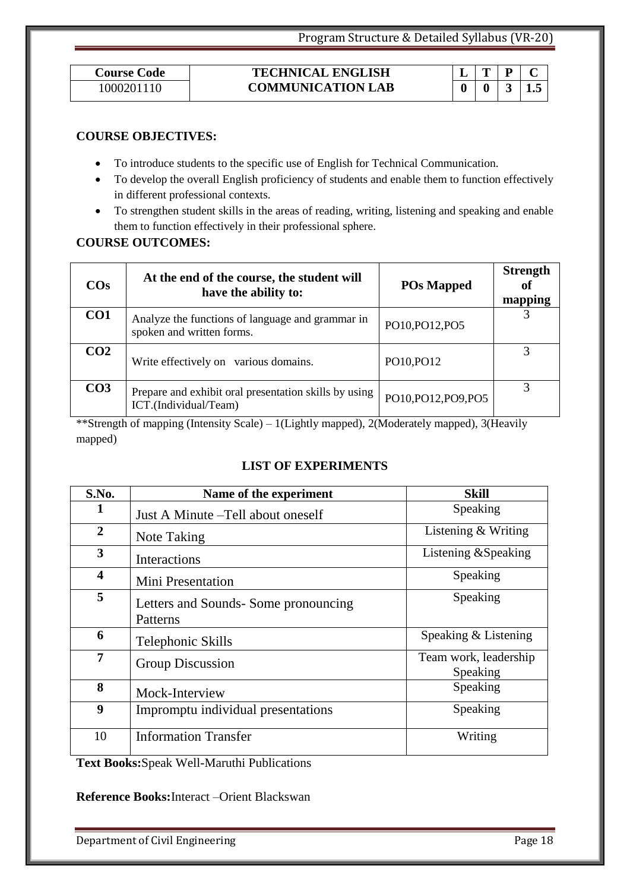#### **Course Code TECHNICAL ENGLISH**  1000201110 **1000201110 COMMUNICATION LAB 10 0 3 1.5**

|  | .5 |
|--|----|

#### **COURSE OBJECTIVES:**

- To introduce students to the specific use of English for Technical Communication.
- To develop the overall English proficiency of students and enable them to function effectively in different professional contexts.
- To strengthen student skills in the areas of reading, writing, listening and speaking and enable them to function effectively in their professional sphere.

### **COURSE OUTCOMES:**

| $\cos$          | At the end of the course, the student will<br>have the ability to:             | <b>POs Mapped</b> | <b>Strength</b><br>of<br>mapping |
|-----------------|--------------------------------------------------------------------------------|-------------------|----------------------------------|
| CO <sub>1</sub> | Analyze the functions of language and grammar in<br>spoken and written forms.  | PO10, PO12, PO5   | $\mathcal{R}$                    |
| CO <sub>2</sub> | Write effectively on various domains.                                          | PO10, PO12        |                                  |
| CO <sub>3</sub> | Prepare and exhibit oral presentation skills by using<br>ICT.(Individual/Team) | PO10,PO12,PO9,PO5 |                                  |

\*\*Strength of mapping (Intensity Scale) – 1(Lightly mapped), 2(Moderately mapped), 3(Heavily mapped)

### **LIST OF EXPERIMENTS**

| S.No.                   | Name of the experiment                           | <b>Skill</b>                      |
|-------------------------|--------------------------------------------------|-----------------------------------|
| 1                       | Just A Minute – Tell about oneself               | Speaking                          |
| $\boldsymbol{2}$        | Note Taking                                      | Listening $&$ Writing             |
| $\overline{\mathbf{3}}$ | Interactions                                     | Listening & Speaking              |
| 4                       | Mini Presentation                                | Speaking                          |
| 5                       | Letters and Sounds- Some pronouncing<br>Patterns | Speaking                          |
| 6                       | Telephonic Skills                                | Speaking & Listening              |
| 7                       | <b>Group Discussion</b>                          | Team work, leadership<br>Speaking |
| 8                       | Mock-Interview                                   | Speaking                          |
| 9                       | Impromptu individual presentations               | Speaking                          |
| 10                      | <b>Information Transfer</b>                      | Writing                           |

**Text Books:**Speak Well-Maruthi Publications

#### **Reference Books:**Interact –Orient Blackswan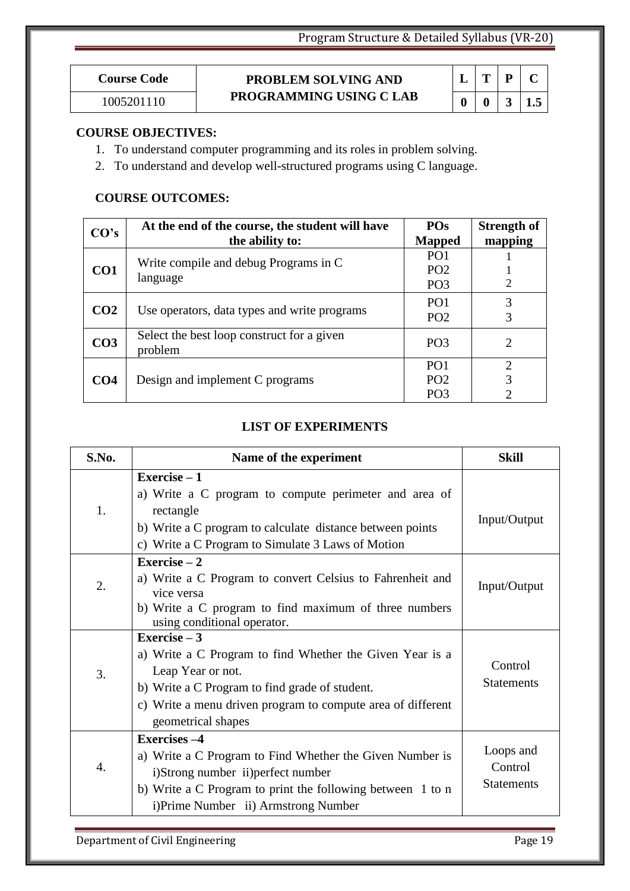# **Course Code PROBLEM SOLVING AND PROGRAMMING USING C LAB** 1005201110 **0 0 3 1.5**

|    | ш  | р | L   |
|----|----|---|-----|
| 11 | 11 |   | 1.5 |

### **COURSE OBJECTIVES:**

- 1. To understand computer programming and its roles in problem solving.
- 2. To understand and develop well-structured programs using C language.

#### **COURSE OUTCOMES:**

| CO's            | At the end of the course, the student will have       | <b>POs</b>      | <b>Strength of</b> |
|-----------------|-------------------------------------------------------|-----------------|--------------------|
|                 | the ability to:                                       | <b>Mapped</b>   | mapping            |
|                 | Write compile and debug Programs in C                 | PO <sub>1</sub> |                    |
| CO <sub>1</sub> |                                                       | PO <sub>2</sub> |                    |
|                 | language                                              | PO <sub>3</sub> | $\overline{2}$     |
|                 |                                                       | PO <sub>1</sub> | 3                  |
| CO <sub>2</sub> | Use operators, data types and write programs          | PO <sub>2</sub> | 3                  |
| CO <sub>3</sub> | Select the best loop construct for a given<br>problem | PO <sub>3</sub> | 2                  |
|                 |                                                       | PO <sub>1</sub> | $\overline{2}$     |
| CO <sub>4</sub> | Design and implement C programs                       | PO <sub>2</sub> | 3                  |
|                 |                                                       | PO <sub>3</sub> | ◠                  |

### **LIST OF EXPERIMENTS**

| S.No.            | Name of the experiment                                                                                                                                                                                                                | <b>Skill</b>                              |
|------------------|---------------------------------------------------------------------------------------------------------------------------------------------------------------------------------------------------------------------------------------|-------------------------------------------|
| 1.               | Exercise $-1$<br>a) Write a C program to compute perimeter and area of<br>rectangle<br>b) Write a C program to calculate distance between points<br>c) Write a C Program to Simulate 3 Laws of Motion                                 | Input/Output                              |
| 2.               | Exercise $-2$<br>a) Write a C Program to convert Celsius to Fahrenheit and<br>vice versa<br>b) Write a C program to find maximum of three numbers<br>using conditional operator.                                                      | Input/Output                              |
| 3.               | Exercise $-3$<br>a) Write a C Program to find Whether the Given Year is a<br>Leap Year or not.<br>b) Write a C Program to find grade of student.<br>c) Write a menu driven program to compute area of different<br>geometrical shapes | Control<br><b>Statements</b>              |
| $\overline{4}$ . | <b>Exercises -4</b><br>a) Write a C Program to Find Whether the Given Number is<br>i)Strong number ii)perfect number<br>b) Write a C Program to print the following between 1 to n<br>i)Prime Number ii) Armstrong Number             | Loops and<br>Control<br><b>Statements</b> |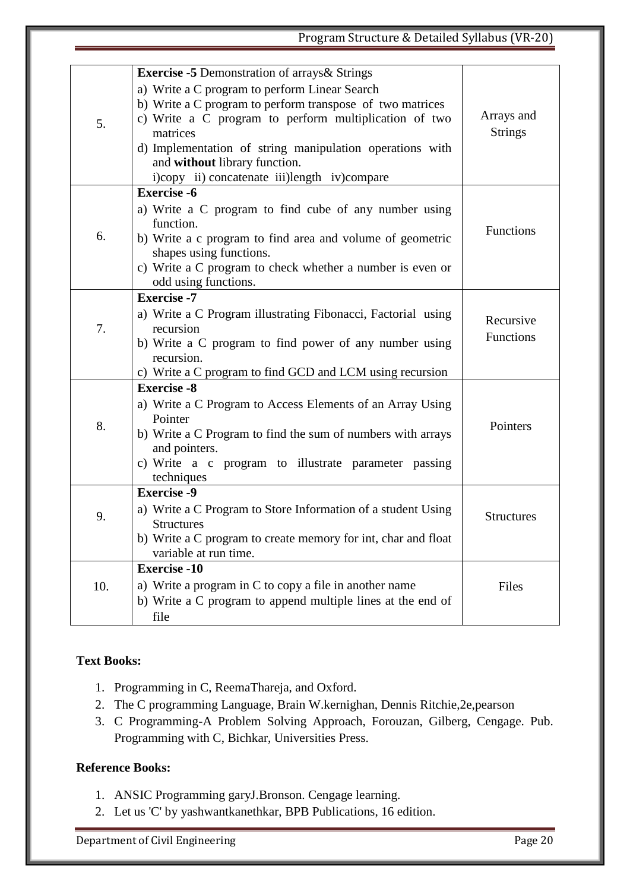# Program Structure & Detailed Syllabus (VR-20)

|     | <b>Exercise -5 Demonstration of arrays &amp; Strings</b><br>a) Write a C program to perform Linear Search<br>b) Write a C program to perform transpose of two matrices |                   |
|-----|------------------------------------------------------------------------------------------------------------------------------------------------------------------------|-------------------|
| 5.  | c) Write a C program to perform multiplication of two                                                                                                                  | Arrays and        |
|     | matrices                                                                                                                                                               | <b>Strings</b>    |
|     | d) Implementation of string manipulation operations with                                                                                                               |                   |
|     | and without library function.<br>i)copy ii) concatenate iii)length iv)compare                                                                                          |                   |
|     | <b>Exercise -6</b>                                                                                                                                                     |                   |
|     | a) Write a C program to find cube of any number using                                                                                                                  |                   |
|     | function.                                                                                                                                                              |                   |
| 6.  | b) Write a c program to find area and volume of geometric                                                                                                              | Functions         |
|     | shapes using functions.                                                                                                                                                |                   |
|     | c) Write a C program to check whether a number is even or<br>odd using functions.                                                                                      |                   |
|     | <b>Exercise -7</b>                                                                                                                                                     |                   |
| 7.  | a) Write a C Program illustrating Fibonacci, Factorial using                                                                                                           |                   |
|     | recursion                                                                                                                                                              | Recursive         |
|     | b) Write a C program to find power of any number using<br>recursion.                                                                                                   | <b>Functions</b>  |
|     | c) Write a C program to find GCD and LCM using recursion                                                                                                               |                   |
|     | <b>Exercise -8</b>                                                                                                                                                     |                   |
|     | a) Write a C Program to Access Elements of an Array Using                                                                                                              |                   |
| 8.  | Pointer                                                                                                                                                                | Pointers          |
|     | b) Write a C Program to find the sum of numbers with arrays<br>and pointers.                                                                                           |                   |
|     | c) Write a c program to illustrate parameter passing                                                                                                                   |                   |
|     | techniques                                                                                                                                                             |                   |
|     | <b>Exercise -9</b>                                                                                                                                                     |                   |
| 9.  | a) Write a C Program to Store Information of a student Using                                                                                                           | <b>Structures</b> |
|     | <b>Structures</b>                                                                                                                                                      |                   |
|     | b) Write a C program to create memory for int, char and float<br>variable at run time.                                                                                 |                   |
|     | <b>Exercise -10</b>                                                                                                                                                    |                   |
| 10. | a) Write a program in C to copy a file in another name                                                                                                                 | Files             |
|     | b) Write a C program to append multiple lines at the end of                                                                                                            |                   |
|     | file                                                                                                                                                                   |                   |

### **Text Books:**

- 1. Programming in C, ReemaThareja, and Oxford.
- 2. The C programming Language, Brain W.kernighan, Dennis Ritchie,2e,pearson
- 3. C Programming-A Problem Solving Approach, Forouzan, Gilberg, Cengage. Pub. Programming with C, Bichkar, Universities Press.

#### **Reference Books:**

- 1. ANSIC Programming garyJ.Bronson. Cengage learning.
- 2. Let us 'C' by yashwantkanethkar, BPB Publications, 16 edition.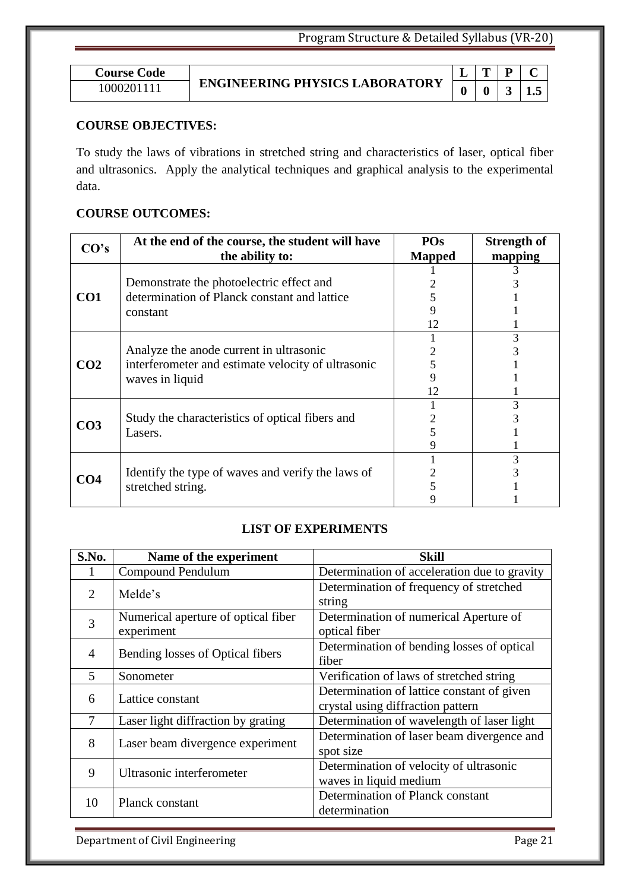# **ENGINEERING PHYSICS LABORATORY** 1000201111 **0 0 3 1.5**

|  | i<br>E |
|--|--------|

### **COURSE OBJECTIVES:**

To study the laws of vibrations in stretched string and characteristics of laser, optical fiber and ultrasonics. Apply the analytical techniques and graphical analysis to the experimental data.

### **COURSE OUTCOMES:**

|                 | At the end of the course, the student will have<br>CO's                                                          |               | <b>Strength of</b> |
|-----------------|------------------------------------------------------------------------------------------------------------------|---------------|--------------------|
|                 | the ability to:                                                                                                  | <b>Mapped</b> | mapping            |
|                 |                                                                                                                  |               |                    |
| CO <sub>1</sub> | Demonstrate the photoelectric effect and                                                                         |               |                    |
|                 | determination of Planck constant and lattice                                                                     |               |                    |
|                 | constant                                                                                                         |               |                    |
|                 |                                                                                                                  | 12            |                    |
|                 |                                                                                                                  |               |                    |
|                 | Analyze the anode current in ultrasonic<br>interferometer and estimate velocity of ultrasonic<br>waves in liquid |               |                    |
| CO <sub>2</sub> |                                                                                                                  |               |                    |
|                 |                                                                                                                  |               |                    |
|                 |                                                                                                                  | 12            |                    |
|                 |                                                                                                                  |               |                    |
| CO <sub>3</sub> | Study the characteristics of optical fibers and                                                                  |               |                    |
|                 | Lasers.                                                                                                          |               |                    |
|                 |                                                                                                                  |               |                    |
|                 |                                                                                                                  |               |                    |
| CO4             | Identify the type of waves and verify the laws of                                                                |               |                    |
|                 | stretched string.                                                                                                |               |                    |
|                 |                                                                                                                  |               |                    |

### **LIST OF EXPERIMENTS**

| S.No.                       | Name of the experiment                            | <b>Skill</b>                                                                    |
|-----------------------------|---------------------------------------------------|---------------------------------------------------------------------------------|
|                             | <b>Compound Pendulum</b>                          | Determination of acceleration due to gravity                                    |
| $\mathcal{D}_{\mathcal{L}}$ | Melde's                                           | Determination of frequency of stretched<br>string                               |
| 3                           | Numerical aperture of optical fiber<br>experiment | Determination of numerical Aperture of<br>optical fiber                         |
| $\overline{4}$              | Bending losses of Optical fibers                  | Determination of bending losses of optical<br>fiber                             |
| 5                           | Sonometer                                         | Verification of laws of stretched string                                        |
| 6                           | Lattice constant                                  | Determination of lattice constant of given<br>crystal using diffraction pattern |
| 7                           | Laser light diffraction by grating                | Determination of wavelength of laser light                                      |
| 8                           | Laser beam divergence experiment                  | Determination of laser beam divergence and<br>spot size                         |
| 9                           | Ultrasonic interferometer                         | Determination of velocity of ultrasonic<br>waves in liquid medium               |
| 10                          | Planck constant                                   | Determination of Planck constant<br>determination                               |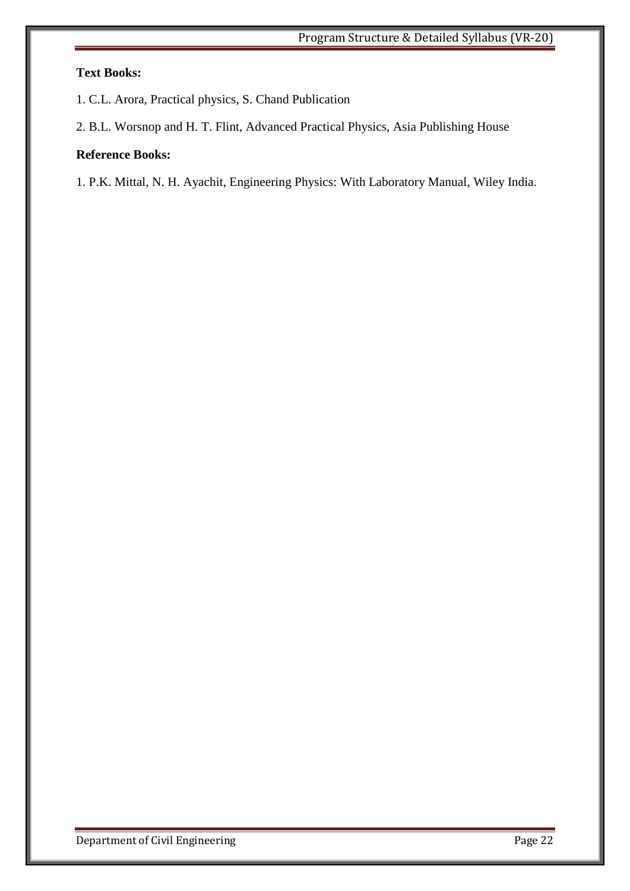### **Text Books:**

- 1. C.L. Arora, Practical physics, S. Chand Publication
- 2. B.L. Worsnop and H. T. Flint, Advanced Practical Physics, Asia Publishing House

### **Reference Books:**

1. P.K. Mittal, N. H. Ayachit, Engineering Physics: With Laboratory Manual, Wiley India.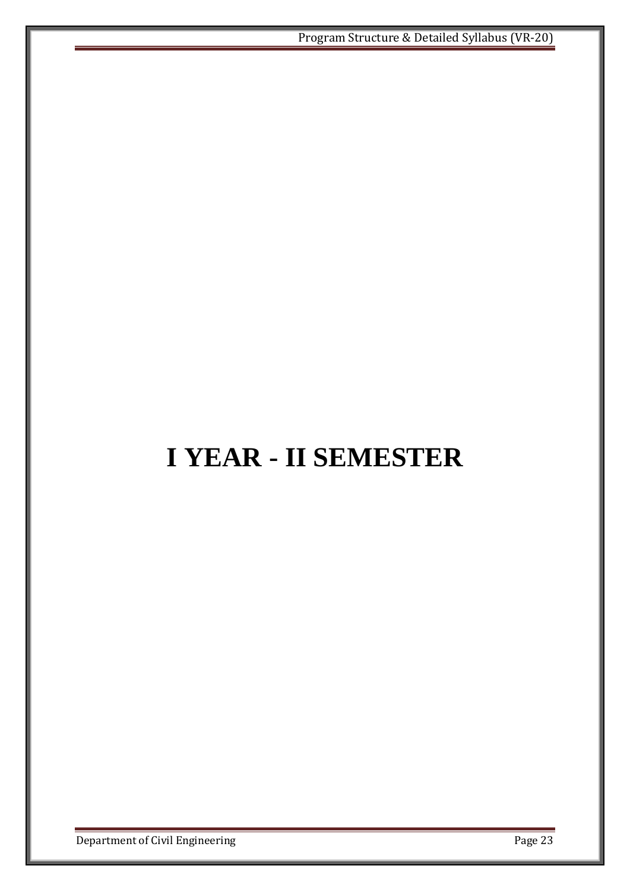# **I YEAR - II SEMESTER**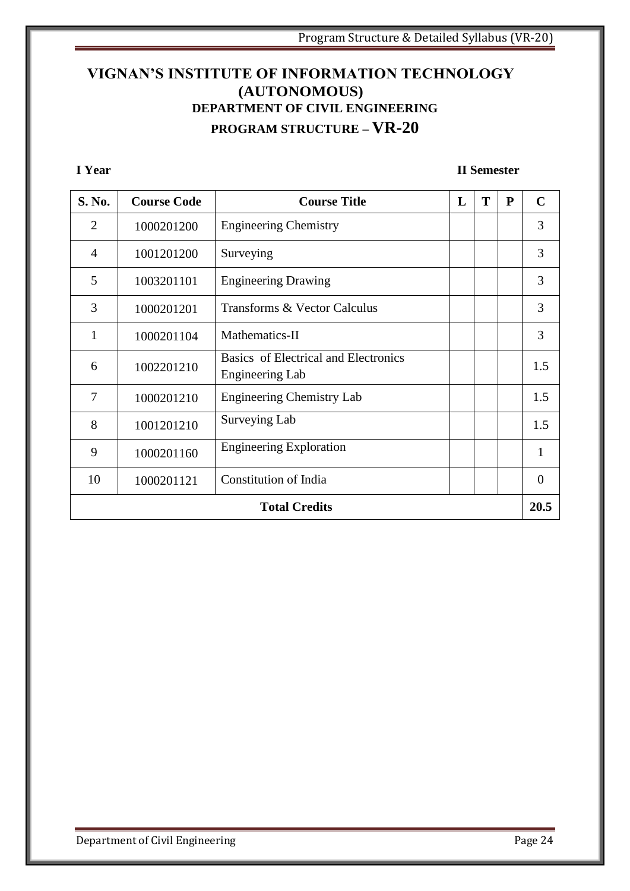## **VIGNAN'S INSTITUTE OF INFORMATION TECHNOLOGY (AUTONOMOUS) DEPARTMENT OF CIVIL ENGINEERING PROGRAM STRUCTURE – VR-20**

**I Year II Semester**

| S. No.               | <b>Course Code</b> | <b>Course Title</b>                                            | L | T | $\mathbf{P}$ | $\mathbf C$  |
|----------------------|--------------------|----------------------------------------------------------------|---|---|--------------|--------------|
| 2                    | 1000201200         | <b>Engineering Chemistry</b>                                   |   |   |              | 3            |
| $\overline{4}$       | 1001201200         | Surveying                                                      |   |   |              | 3            |
| 5                    | 1003201101         | <b>Engineering Drawing</b>                                     |   |   |              | 3            |
| 3                    | 1000201201         | Transforms & Vector Calculus                                   |   |   |              | 3            |
| 1                    | 1000201104         | Mathematics-II                                                 |   |   |              | 3            |
| 6                    | 1002201210         | Basics of Electrical and Electronics<br><b>Engineering Lab</b> |   |   |              | 1.5          |
| 7                    | 1000201210         | <b>Engineering Chemistry Lab</b>                               |   |   |              | 1.5          |
| 8                    | 1001201210         | Surveying Lab                                                  |   |   |              | 1.5          |
| 9                    | 1000201160         | <b>Engineering Exploration</b>                                 |   |   |              | $\mathbf{1}$ |
| 10                   | 1000201121         | Constitution of India                                          |   |   |              | $\Omega$     |
| <b>Total Credits</b> |                    |                                                                |   |   | 20.5         |              |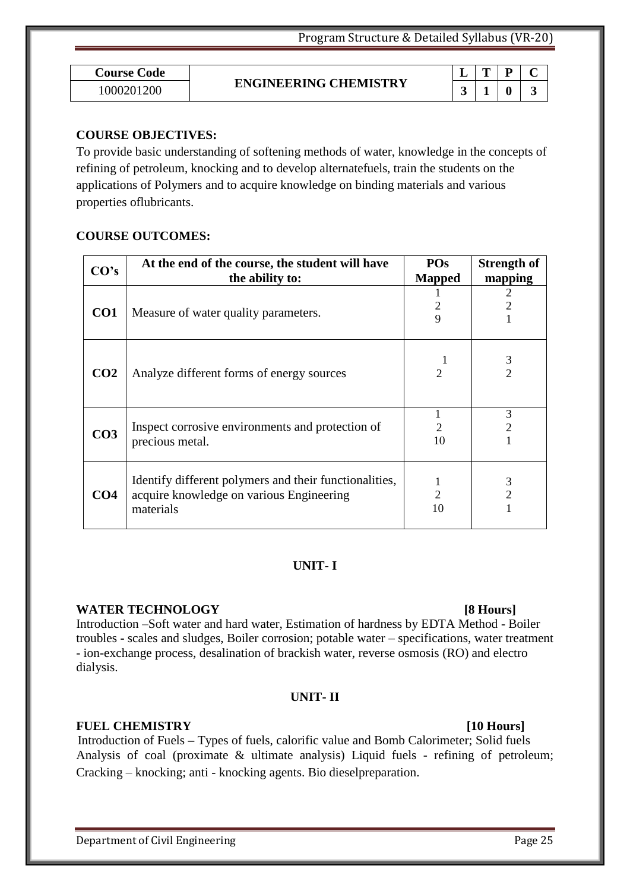| <b>Course Code</b> | <b>ENGINEERING CHEMISTRY</b> | $\overline{\phantom{a}}$ | m | D |   |
|--------------------|------------------------------|--------------------------|---|---|---|
| 200<br>10002012    |                              | ⌒                        |   |   | ~ |
|                    |                              |                          |   |   |   |

#### **COURSE OBJECTIVES:**

To provide basic understanding of softening methods of water, knowledge in the concepts of refining of petroleum, knocking and to develop alternatefuels, train the students on the applications of Polymers and to acquire knowledge on binding materials and various properties oflubricants.

#### **COURSE OUTCOMES:**

| CO's            | At the end of the course, the student will have                                                                 | <b>POs</b>                  | <b>Strength of</b>  |
|-----------------|-----------------------------------------------------------------------------------------------------------------|-----------------------------|---------------------|
|                 | the ability to:                                                                                                 | <b>Mapped</b>               | mapping             |
| CO <sub>1</sub> | Measure of water quality parameters.                                                                            | 9                           |                     |
| CO <sub>2</sub> | Analyze different forms of energy sources                                                                       | $\mathcal{D}_{\mathcal{L}}$ | $\mathcal{D}$       |
| CO <sub>3</sub> | Inspect corrosive environments and protection of<br>precious metal.                                             | 10                          | 3                   |
| CO <sub>4</sub> | Identify different polymers and their functionalities,<br>acquire knowledge on various Engineering<br>materials | 2<br>10                     | 3<br>$\overline{c}$ |

#### **UNIT- I**

#### **WATER TECHNOLOGY** [8 Hours]

Introduction –Soft water and hard water, Estimation of hardness by EDTA Method - Boiler troubles **-** scales and sludges, Boiler corrosion; potable water – specifications, water treatment - ion-exchange process, desalination of brackish water, reverse osmosis (RO) and electro dialysis.

#### **UNIT- II**

#### **FUEL CHEMISTRY** [10 Hours]

Introduction of Fuels **–** Types of fuels, calorific value and Bomb Calorimeter; Solid fuels Analysis of coal (proximate & ultimate analysis) Liquid fuels - refining of petroleum; Cracking – knocking; anti - knocking agents. Bio dieselpreparation.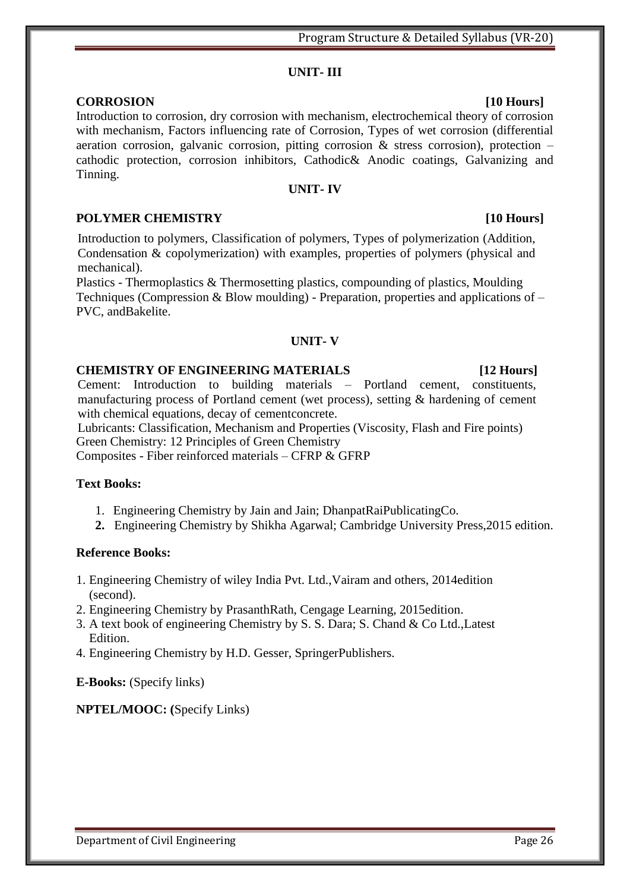### **UNIT- III**

### **CORROSION [10 Hours]**

Introduction to corrosion, dry corrosion with mechanism, electrochemical theory of corrosion with mechanism, Factors influencing rate of Corrosion, Types of wet corrosion (differential aeration corrosion, galvanic corrosion, pitting corrosion  $\&$  stress corrosion), protection – cathodic protection, corrosion inhibitors, Cathodic& Anodic coatings, Galvanizing and Tinning.

### **UNIT- IV**

### **POLYMER CHEMISTRY** [10 Hours]

Introduction to polymers, Classification of polymers, Types of polymerization (Addition, Condensation & copolymerization) with examples, properties of polymers (physical and mechanical).

Plastics - Thermoplastics & Thermosetting plastics, compounding of plastics, Moulding Techniques (Compression & Blow moulding) - Preparation, properties and applications of – PVC, andBakelite.

### **UNIT- V**

#### **CHEMISTRY OF ENGINEERING MATERIALS [12 Hours]**

Cement: Introduction to building materials – Portland cement, constituents, manufacturing process of Portland cement (wet process), setting & hardening of cement with chemical equations, decay of cementconcrete.

Lubricants: Classification, Mechanism and Properties (Viscosity, Flash and Fire points) Green Chemistry: 12 Principles of Green Chemistry Composites - Fiber reinforced materials – CFRP & GFRP

### **Text Books:**

- 1. Engineering Chemistry by Jain and Jain; DhanpatRaiPublicatingCo.
- **2.** Engineering Chemistry by Shikha Agarwal; Cambridge University Press,2015 edition.

### **Reference Books:**

- 1. Engineering Chemistry of wiley India Pvt. Ltd.,Vairam and others, 2014edition (second).
- 2. Engineering Chemistry by PrasanthRath, Cengage Learning, 2015edition.
- 3. A text book of engineering Chemistry by S. S. Dara; S. Chand & Co Ltd.,Latest Edition.
- 4. Engineering Chemistry by H.D. Gesser, SpringerPublishers.

**E-Books:** (Specify links)

### **NPTEL/MOOC: (**Specify Links)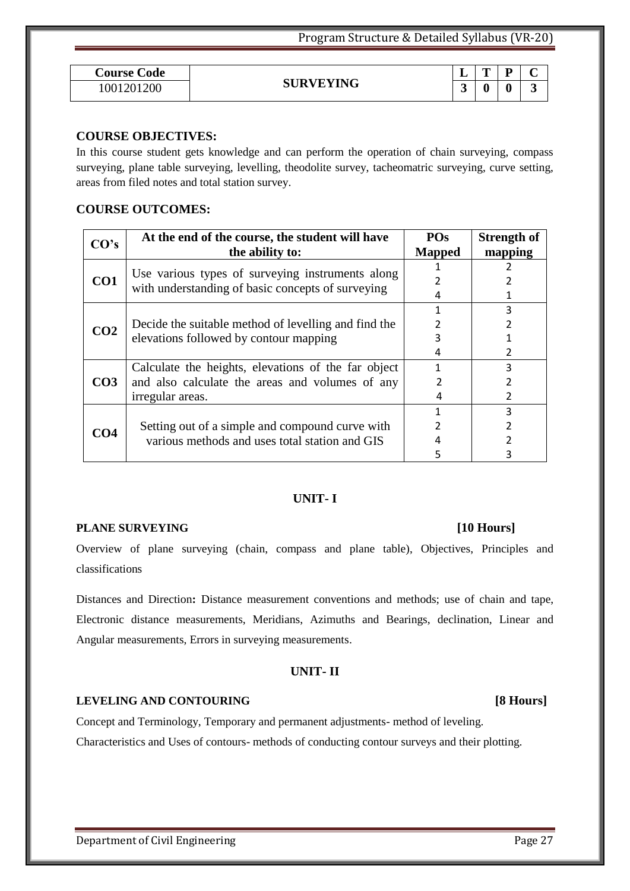| <b>Course Code</b> |                  | -<br>- | m<br><u>_</u> | D                | $\sim$<br>֊        |  |
|--------------------|------------------|--------|---------------|------------------|--------------------|--|
| 1001201200         | <b>SURVEYING</b> | ັ      | ₩             | $\boldsymbol{0}$ | $\rightarrow$<br>ັ |  |

### **COURSE OBJECTIVES:**

In this course student gets knowledge and can perform the operation of chain surveying, compass surveying, plane table surveying, levelling, theodolite survey, tacheomatric surveying, curve setting, areas from filed notes and total station survey.

### **COURSE OUTCOMES:**

| CO's            | At the end of the course, the student will have      | PO <sub>s</sub> | <b>Strength of</b> |
|-----------------|------------------------------------------------------|-----------------|--------------------|
|                 | the ability to:                                      | <b>Mapped</b>   | mapping            |
|                 | Use various types of surveying instruments along     |                 |                    |
| CO1             | with understanding of basic concepts of surveying    |                 |                    |
|                 |                                                      |                 |                    |
|                 |                                                      |                 | 3                  |
| CO <sub>2</sub> | Decide the suitable method of levelling and find the |                 |                    |
|                 | elevations followed by contour mapping               | 3               |                    |
|                 |                                                      |                 | 2                  |
|                 | Calculate the heights, elevations of the far object  |                 | 3                  |
| CO <sub>3</sub> | and also calculate the areas and volumes of any      |                 | 2                  |
|                 | irregular areas.                                     | 4               | 2                  |
|                 |                                                      |                 | 3                  |
| CO4             | Setting out of a simple and compound curve with      |                 | 2                  |
|                 | various methods and uses total station and GIS       |                 |                    |
|                 |                                                      |                 | 3                  |

### **UNIT- I**

#### **PLANE SURVEYING [10 Hours]**

Overview of plane surveying (chain, compass and plane table), Objectives, Principles and classifications

Distances and Direction**:** Distance measurement conventions and methods; use of chain and tape, Electronic distance measurements, Meridians, Azimuths and Bearings, declination, Linear and Angular measurements, Errors in surveying measurements.

#### **UNIT- II**

#### **LEVELING AND CONTOURING [8 Hours]**

Concept and Terminology, Temporary and permanent adjustments- method of leveling. Characteristics and Uses of contours- methods of conducting contour surveys and their plotting.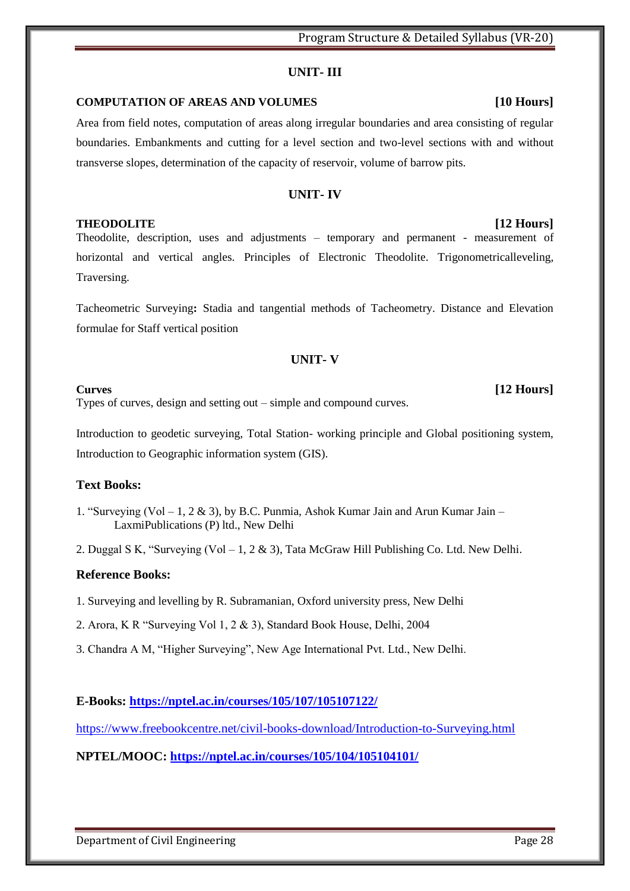#### **UNIT- III**

#### **COMPUTATION OF AREAS AND VOLUMES [10 Hours]**

Area from field notes, computation of areas along irregular boundaries and area consisting of regular boundaries. Embankments and cutting for a level section and two-level sections with and without transverse slopes, determination of the capacity of reservoir, volume of barrow pits.

#### **UNIT- IV**

#### **THEODOLITE [12 Hours]**

Theodolite, description, uses and adjustments – temporary and permanent - measurement of horizontal and vertical angles. Principles of Electronic Theodolite. Trigonometricalleveling, Traversing.

Tacheometric Surveying**:** Stadia and tangential methods of Tacheometry. Distance and Elevation formulae for Staff vertical position

#### **UNIT- V**

Types of curves, design and setting out – simple and compound curves.

Introduction to geodetic surveying, Total Station- working principle and Global positioning system, Introduction to Geographic information system (GIS).

#### **Text Books:**

- 1. "Surveying (Vol 1, 2 & 3), by B.C. Punmia, Ashok Kumar Jain and Arun Kumar Jain LaxmiPublications (P) ltd., New Delhi
- 2. Duggal S K, "Surveying (Vol 1, 2 & 3), Tata McGraw Hill Publishing Co. Ltd. New Delhi.

#### **Reference Books:**

- 1. Surveying and levelling by R. Subramanian, Oxford university press, New Delhi
- 2. Arora, K R "Surveying Vol  $1, 2 \& 3$ ), Standard Book House, Delhi, 2004
- 3. Chandra A M, "Higher Surveying", New Age International Pvt. Ltd., New Delhi.

#### **E-Books:<https://nptel.ac.in/courses/105/107/105107122/>**

<https://www.freebookcentre.net/civil-books-download/Introduction-to-Surveying.html>

#### **NPTEL/MOOC:<https://nptel.ac.in/courses/105/104/105104101/>**

Department of Civil Engineering Page 28

**Curves [12 Hours]**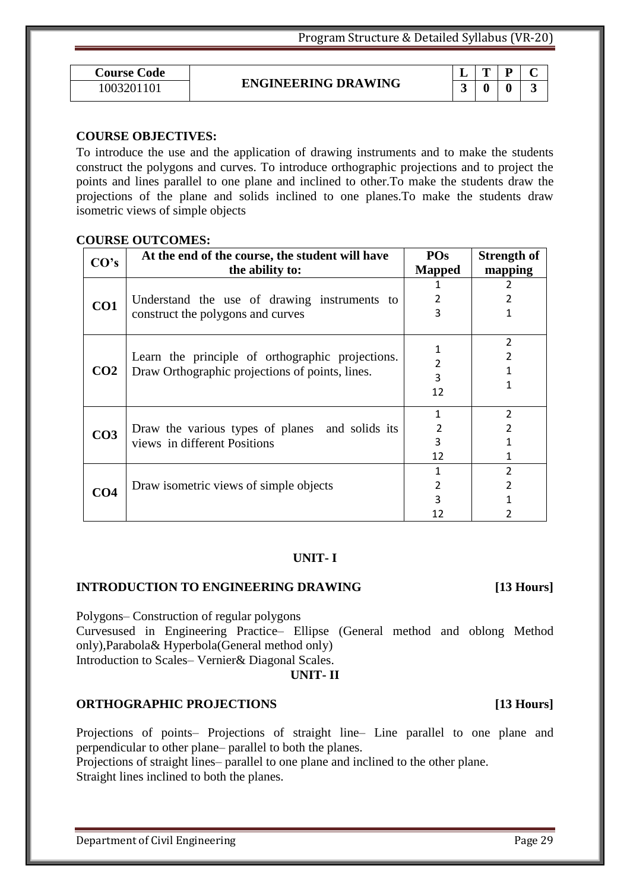$T | P | C$ 

| <b>Course Code</b> |                            | - | m | D |  |
|--------------------|----------------------------|---|---|---|--|
| 100320             | <b>ENGINEERING DRAWING</b> | ↗ |   | 0 |  |

#### **COURSE OBJECTIVES:**

To introduce the use and the application of drawing instruments and to make the students construct the polygons and curves. To introduce orthographic projections and to project the points and lines parallel to one plane and inclined to other.To make the students draw the projections of the plane and solids inclined to one planes.To make the students draw isometric views of simple objects

#### **COURSE OUTCOMES:**

| CO's            | At the end of the course, the student will have  | PO <sub>s</sub> | <b>Strength of</b> |
|-----------------|--------------------------------------------------|-----------------|--------------------|
|                 | the ability to:                                  | <b>Mapped</b>   | mapping            |
|                 |                                                  |                 |                    |
| CO1             | Understand the use of drawing instruments to     | 2               |                    |
|                 | construct the polygons and curves                | 3               | 1                  |
|                 |                                                  |                 |                    |
|                 |                                                  |                 | 2                  |
| CO <sub>2</sub> | Learn the principle of orthographic projections. |                 |                    |
|                 | Draw Orthographic projections of points, lines.  | 3               |                    |
|                 |                                                  | 12              |                    |
|                 |                                                  |                 | 2                  |
|                 |                                                  |                 |                    |
| CO <sub>3</sub> | Draw the various types of planes and solids its  | 2               |                    |
|                 | views in different Positions                     | 3               |                    |
|                 |                                                  | 12              |                    |
|                 |                                                  |                 | $\overline{2}$     |
| CO <sub>4</sub> | Draw isometric views of simple objects           |                 |                    |
|                 |                                                  |                 |                    |
|                 |                                                  |                 |                    |

#### **UNIT- I**

#### **INTRODUCTION TO ENGINEERING DRAWING [13 Hours]**

Polygons– Construction of regular polygons

Curvesused in Engineering Practice– Ellipse (General method and oblong Method only),Parabola& Hyperbola(General method only) Introduction to Scales– Vernier& Diagonal Scales.

#### **UNIT- II**

#### **ORTHOGRAPHIC PROJECTIONS [13 Hours]**

Projections of points– Projections of straight line– Line parallel to one plane and perpendicular to other plane– parallel to both the planes.

Projections of straight lines– parallel to one plane and inclined to the other plane. Straight lines inclined to both the planes.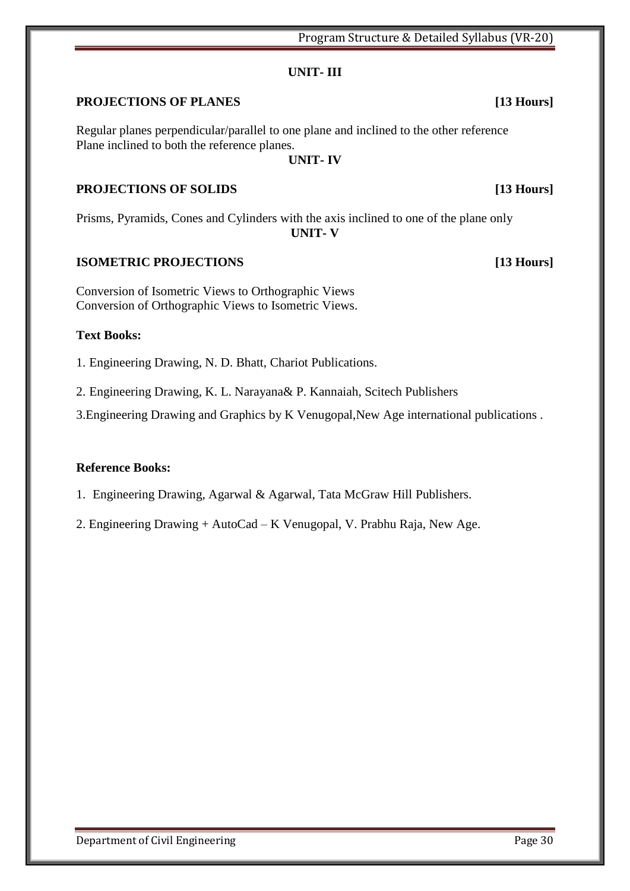#### **UNIT- III**

### **PROJECTIONS OF PLANES [13 Hours]**

Regular planes perpendicular/parallel to one plane and inclined to the other reference Plane inclined to both the reference planes.

#### **UNIT- IV**

### **PROJECTIONS OF SOLIDS [13 Hours]**

Prisms, Pyramids, Cones and Cylinders with the axis inclined to one of the plane only **UNIT- V** 

#### **ISOMETRIC PROJECTIONS [13 Hours]**

Conversion of Isometric Views to Orthographic Views Conversion of Orthographic Views to Isometric Views.

#### **Text Books:**

1. Engineering Drawing, N. D. Bhatt, Chariot Publications.

2. Engineering Drawing, K. L. Narayana& P. Kannaiah, Scitech Publishers

3.Engineering Drawing and Graphics by K Venugopal,New Age international publications .

#### **Reference Books:**

1. Engineering Drawing, Agarwal & Agarwal, Tata McGraw Hill Publishers.

2. Engineering Drawing + AutoCad – K Venugopal, V. Prabhu Raja, New Age.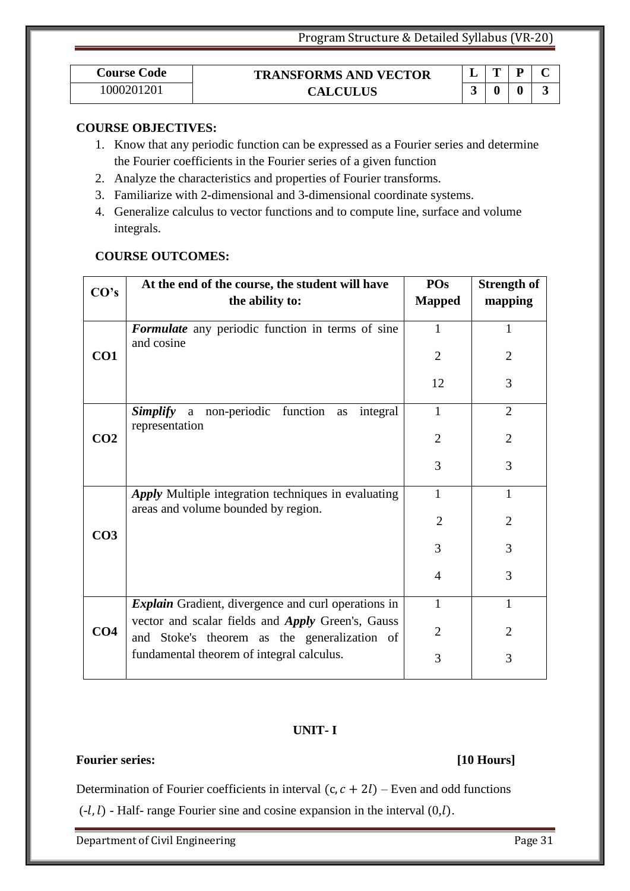| <b>Course Code</b> | <b>TRANSFORMS AND VECTOR</b> | π | D |  |
|--------------------|------------------------------|---|---|--|
| 1000201201         | <b>CALCULUS</b>              |   |   |  |

#### **COURSE OBJECTIVES:**

- 1. Know that any periodic function can be expressed as a Fourier series and determine the Fourier coefficients in the Fourier series of a given function
- 2. Analyze the characteristics and properties of Fourier transforms.
- 3. Familiarize with 2-dimensional and 3-dimensional coordinate systems.
- 4. Generalize calculus to vector functions and to compute line, surface and volume integrals.

| <b>COURSE OUTCOMES:</b> |
|-------------------------|
|                         |

| CO's            | At the end of the course, the student will have                                                          | POs            | <b>Strength of</b> |
|-----------------|----------------------------------------------------------------------------------------------------------|----------------|--------------------|
|                 | the ability to:                                                                                          | <b>Mapped</b>  | mapping            |
|                 | <b>Formulate</b> any periodic function in terms of sine<br>and cosine                                    | 1              | 1                  |
| CO1             |                                                                                                          | $\overline{2}$ | $\overline{2}$     |
|                 |                                                                                                          | 12             | 3                  |
|                 | Simplify<br>function<br>a non-periodic<br>integral<br>as<br>representation                               | 1              | $\overline{2}$     |
| CO <sub>2</sub> |                                                                                                          | $\overline{2}$ | $\overline{2}$     |
|                 |                                                                                                          | 3              | 3                  |
|                 | <b>Apply</b> Multiple integration techniques in evaluating<br>areas and volume bounded by region.        | 1              | 1                  |
| CO <sub>3</sub> |                                                                                                          | $\overline{2}$ | $\overline{2}$     |
|                 |                                                                                                          | 3              | 3                  |
|                 |                                                                                                          | $\overline{4}$ | 3                  |
|                 | <b>Explain</b> Gradient, divergence and curl operations in                                               | 1              | 1                  |
| CO <sub>4</sub> | vector and scalar fields and <i>Apply</i> Green's, Gauss<br>and Stoke's theorem as the generalization of | $\overline{2}$ | $\overline{2}$     |
|                 | fundamental theorem of integral calculus.                                                                | 3              | 3                  |
|                 |                                                                                                          |                |                    |

#### **UNIT- I**

### **Fourier series: [10 Hours]**

Determination of Fourier coefficients in interval  $(c, c + 2l)$  – Even and odd functions  $(-l, l)$  - Half- range Fourier sine and cosine expansion in the interval  $(0, l)$ .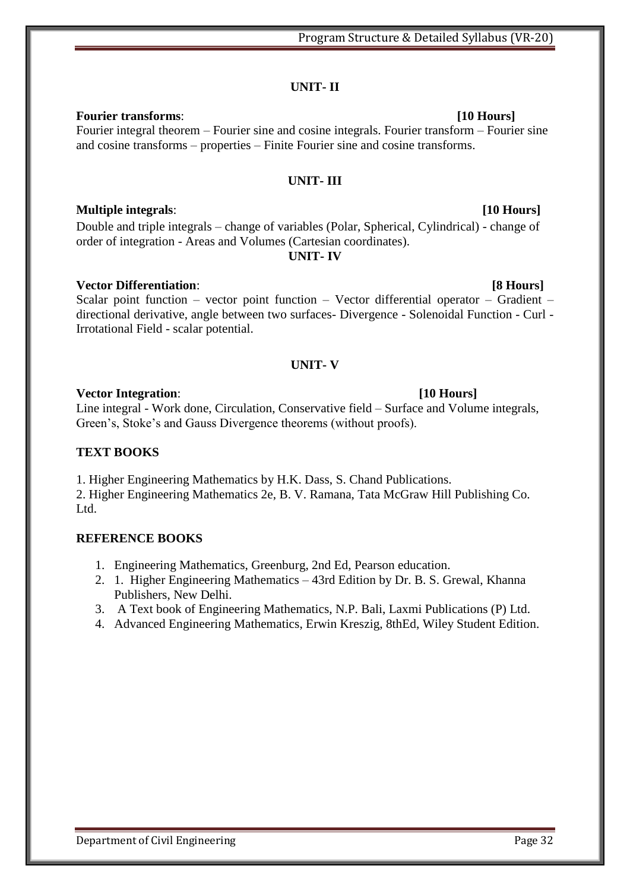### **UNIT- II**

**Fourier transforms**: **[10 Hours]** Fourier integral theorem – Fourier sine and cosine integrals. Fourier transform – Fourier sine and cosine transforms – properties – Finite Fourier sine and cosine transforms.

#### **UNIT- III**

### **Multiple integrals**: **[10 Hours]**

Double and triple integrals – change of variables (Polar, Spherical, Cylindrical) - change of order of integration - Areas and Volumes (Cartesian coordinates). **UNIT- IV** 

**Vector Differentiation**: **[8 Hours]** Scalar point function – vector point function – Vector differential operator – Gradient – directional derivative, angle between two surfaces- Divergence - Solenoidal Function - Curl - Irrotational Field - scalar potential.

### **UNIT- V**

#### **Vector Integration**: **[10 Hours]**

Line integral - Work done, Circulation, Conservative field – Surface and Volume integrals, Green's, Stoke's and Gauss Divergence theorems (without proofs).

### **TEXT BOOKS**

1. Higher Engineering Mathematics by H.K. Dass, S. Chand Publications.

2. Higher Engineering Mathematics 2e, B. V. Ramana, Tata McGraw Hill Publishing Co. Ltd.

### **REFERENCE BOOKS**

- 1. Engineering Mathematics, Greenburg, 2nd Ed, Pearson education.
- 2. 1. Higher Engineering Mathematics 43rd Edition by Dr. B. S. Grewal, Khanna Publishers, New Delhi.
- 3. A Text book of Engineering Mathematics, N.P. Bali, Laxmi Publications (P) Ltd.
- 4. Advanced Engineering Mathematics, Erwin Kreszig, 8thEd, Wiley Student Edition.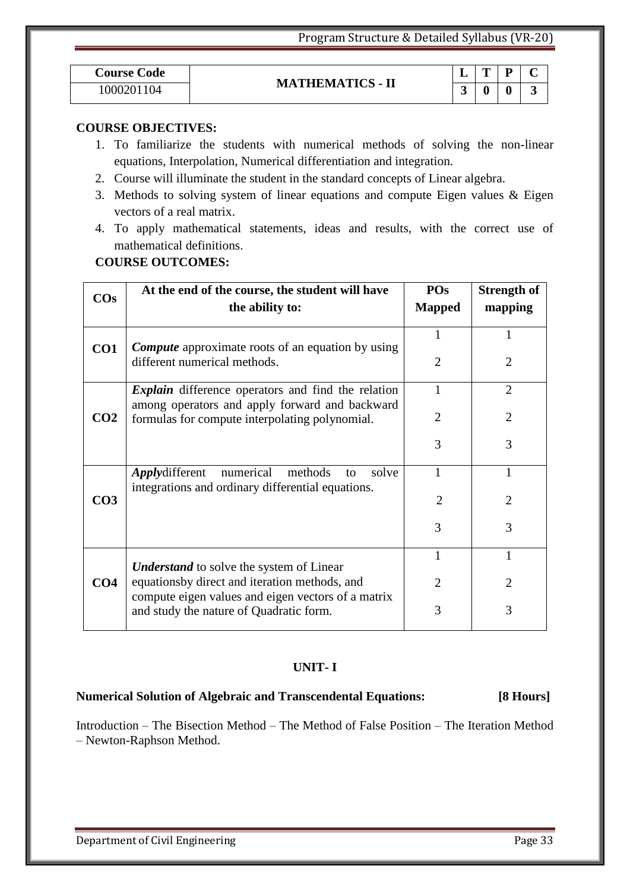| <b>Course Code</b> |                         | <u>. на та</u> | m | n<br>-           | $\sim$ |
|--------------------|-------------------------|----------------|---|------------------|--------|
| 000201<br>104      | <b>MATHEMATICS - II</b> |                |   | $\boldsymbol{0}$ | ັ      |

#### **COURSE OBJECTIVES:**

- 1. To familiarize the students with numerical methods of solving the non-linear equations, Interpolation, Numerical differentiation and integration.
- 2. Course will illuminate the student in the standard concepts of Linear algebra.
- 3. Methods to solving system of linear equations and compute Eigen values & Eigen vectors of a real matrix.
- 4. To apply mathematical statements, ideas and results, with the correct use of mathematical definitions.

#### **COURSE OUTCOMES:**

| $\cos$          | At the end of the course, the student will have<br>the ability to:                                          | POs<br><b>Mapped</b> | <b>Strength of</b><br>mapping |
|-----------------|-------------------------------------------------------------------------------------------------------------|----------------------|-------------------------------|
|                 |                                                                                                             |                      |                               |
|                 | <b>Compute</b> approximate roots of an equation by using                                                    |                      | 1                             |
| CO1             | different numerical methods.                                                                                | 2                    | $\overline{2}$                |
|                 | <i>Explain</i> difference operators and find the relation<br>among operators and apply forward and backward | 1                    | $\overline{2}$                |
| CO <sub>2</sub> | formulas for compute interpolating polynomial.                                                              | 2                    | $\overline{2}$                |
|                 |                                                                                                             | 3                    | 3                             |
|                 | <i>Applydifferent</i><br>numerical<br>methods<br>solve<br>to                                                |                      |                               |
| CO <sub>3</sub> | integrations and ordinary differential equations.                                                           | 2                    | $\overline{2}$                |
|                 |                                                                                                             | 3                    | 3                             |
|                 | <b>Understand</b> to solve the system of Linear                                                             |                      |                               |
| CO <sub>4</sub> | equationsby direct and iteration methods, and<br>compute eigen values and eigen vectors of a matrix         | 2                    | $\overline{2}$                |
|                 | and study the nature of Quadratic form.                                                                     | 3                    | 3                             |

#### **UNIT- I**

#### **Numerical Solution of Algebraic and Transcendental Equations: [8 Hours]**

Introduction – The Bisection Method – The Method of False Position – The Iteration Method – Newton-Raphson Method.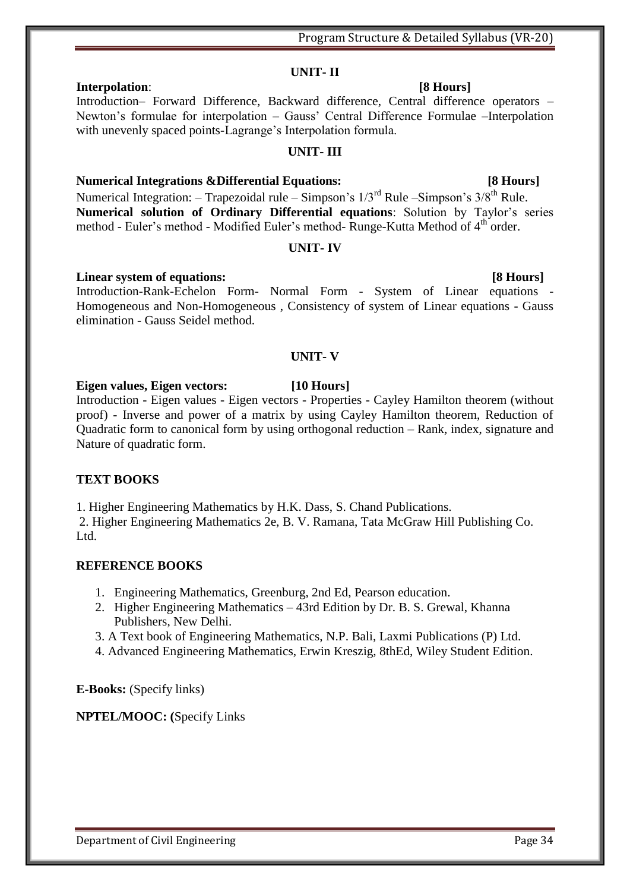#### **UNIT- II Interpolation**: **[8 Hours]**

#### Introduction– Forward Difference, Backward difference, Central difference operators – Newton's formulae for interpolation – Gauss' Central Difference Formulae –Interpolation with unevenly spaced points-Lagrange's Interpolation formula.

### **UNIT- III**

### **Numerical Integrations &Differential Equations: [8 Hours]**

Numerical Integration: – Trapezoidal rule – Simpson's  $1/3^{rd}$  Rule – Simpson's  $3/8^{th}$  Rule. **Numerical solution of Ordinary Differential equations**: Solution by Taylor's series method - Euler's method - Modified Euler's method-Runge-Kutta Method of 4<sup>th</sup> order.

#### **UNIT- IV**

#### **Linear system of equations:** [8 Hours]

Introduction-Rank-Echelon Form- Normal Form - System of Linear equations - Homogeneous and Non-Homogeneous , Consistency of system of Linear equations - Gauss elimination - Gauss Seidel method.

#### **UNIT- V**

### **Eigen values, Eigen vectors: [10 Hours]**

Introduction - Eigen values - Eigen vectors - Properties - Cayley Hamilton theorem (without proof) - Inverse and power of a matrix by using Cayley Hamilton theorem, Reduction of Quadratic form to canonical form by using orthogonal reduction – Rank, index, signature and Nature of quadratic form.

### **TEXT BOOKS**

1. Higher Engineering Mathematics by H.K. Dass, S. Chand Publications.

2. Higher Engineering Mathematics 2e, B. V. Ramana, Tata McGraw Hill Publishing Co. Ltd.

### **REFERENCE BOOKS**

- 1. Engineering Mathematics, Greenburg, 2nd Ed, Pearson education.
- 2. Higher Engineering Mathematics 43rd Edition by Dr. B. S. Grewal, Khanna Publishers, New Delhi.
- 3. A Text book of Engineering Mathematics, N.P. Bali, Laxmi Publications (P) Ltd.
- 4. Advanced Engineering Mathematics, Erwin Kreszig, 8thEd, Wiley Student Edition.

**E-Books:** (Specify links)

### **NPTEL/MOOC: (**Specify Links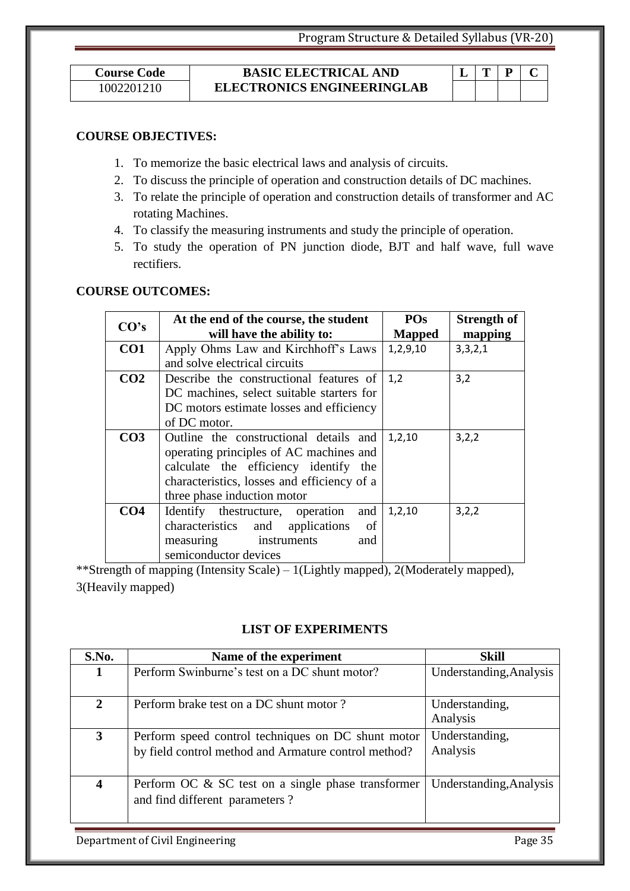1002201210

#### **Course Code BASIC ELECTRICAL AND ELECTRONICS ENGINEERINGLAB**

#### **COURSE OBJECTIVES:**

- 1. To memorize the basic electrical laws and analysis of circuits.
- 2. To discuss the principle of operation and construction details of DC machines.
- 3. To relate the principle of operation and construction details of transformer and AC rotating Machines.
- 4. To classify the measuring instruments and study the principle of operation.
- 5. To study the operation of PN junction diode, BJT and half wave, full wave rectifiers.

### **COURSE OUTCOMES:**

| CO's            | At the end of the course, the student       | <b>POs</b>    | <b>Strength of</b> |
|-----------------|---------------------------------------------|---------------|--------------------|
|                 | will have the ability to:                   | <b>Mapped</b> | mapping            |
| CO1             | Apply Ohms Law and Kirchhoff's Laws         | 1,2,9,10      | 3,3,2,1            |
|                 | and solve electrical circuits               |               |                    |
| CO <sub>2</sub> | Describe the constructional features of     | 1,2           | 3,2                |
|                 | DC machines, select suitable starters for   |               |                    |
|                 | DC motors estimate losses and efficiency    |               |                    |
|                 | of DC motor.                                |               |                    |
| CO <sub>3</sub> | Outline the constructional details and      | 1,2,10        | 3,2,2              |
|                 | operating principles of AC machines and     |               |                    |
|                 | calculate the efficiency identify the       |               |                    |
|                 | characteristics, losses and efficiency of a |               |                    |
|                 | three phase induction motor                 |               |                    |
| CO <sub>4</sub> | Identify the structure, operation<br>and    | 1,2,10        | 3,2,2              |
|                 | characteristics and<br>applications<br>of   |               |                    |
|                 | measuring<br>instruments<br>and             |               |                    |
|                 | semiconductor devices                       |               |                    |

\*\*Strength of mapping (Intensity Scale) – 1(Lightly mapped), 2(Moderately mapped), 3(Heavily mapped)

### **LIST OF EXPERIMENTS**

| S.No.                   | Name of the experiment                                                                                     | <b>Skill</b>               |
|-------------------------|------------------------------------------------------------------------------------------------------------|----------------------------|
| 1                       | Perform Swinburne's test on a DC shunt motor?                                                              | Understanding, Analysis    |
| $\overline{2}$          | Perform brake test on a DC shunt motor?                                                                    | Understanding,<br>Analysis |
| 3                       | Perform speed control techniques on DC shunt motor<br>by field control method and Armature control method? | Understanding,<br>Analysis |
| $\overline{\mathbf{4}}$ | Perform OC $\&$ SC test on a single phase transformer<br>and find different parameters?                    | Understanding, Analysis    |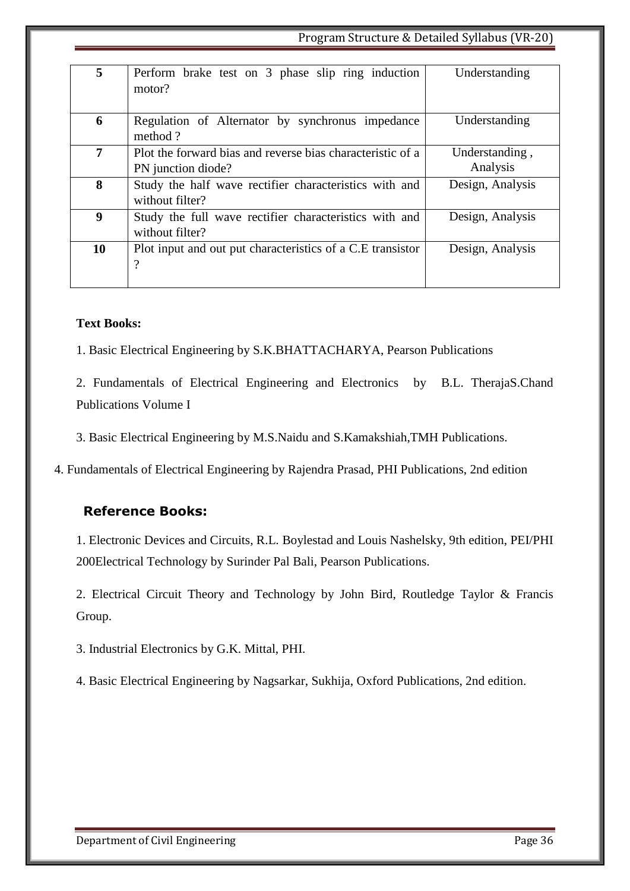#### Program Structure & Detailed Syllabus (VR-20)

| 5  | Perform brake test on 3 phase slip ring induction<br>motor?                      | Understanding              |
|----|----------------------------------------------------------------------------------|----------------------------|
| 6  | Regulation of Alternator by synchronus impedance<br>method?                      | Understanding              |
| 7  | Plot the forward bias and reverse bias characteristic of a<br>PN junction diode? | Understanding,<br>Analysis |
| 8  | Study the half wave rectifier characteristics with and<br>without filter?        | Design, Analysis           |
| 9  | Study the full wave rectifier characteristics with and<br>without filter?        | Design, Analysis           |
| 10 | Plot input and out put characteristics of a C.E transistor<br>$\gamma$           | Design, Analysis           |

#### **Text Books:**

1. Basic Electrical Engineering by S.K.BHATTACHARYA, Pearson Publications

2. Fundamentals of Electrical Engineering and Electronics by B.L. TherajaS.Chand Publications Volume I

3. Basic Electrical Engineering by M.S.Naidu and S.Kamakshiah,TMH Publications.

4. Fundamentals of Electrical Engineering by Rajendra Prasad, PHI Publications, 2nd edition

### **Reference Books:**

1. Electronic Devices and Circuits, R.L. Boylestad and Louis Nashelsky, 9th edition, PEI/PHI 200Electrical Technology by Surinder Pal Bali, Pearson Publications.

2. Electrical Circuit Theory and Technology by John Bird, Routledge Taylor & Francis Group.

3. Industrial Electronics by G.K. Mittal, PHI.

4. Basic Electrical Engineering by Nagsarkar, Sukhija, Oxford Publications, 2nd edition.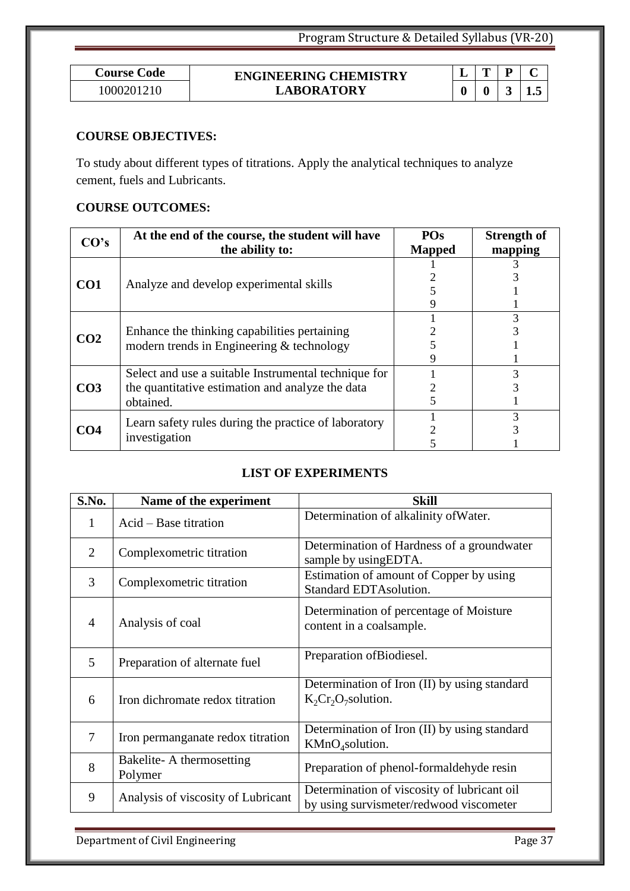| Course Code | <b>ENGINEERING CHEMISTRY</b> | - |   |   |
|-------------|------------------------------|---|---|---|
| 000201210   | <b>LABORATORY</b>            |   | 0 | ⊷ |

### **COURSE OBJECTIVES:**

To study about different types of titrations. Apply the analytical techniques to analyze cement, fuels and Lubricants.

### **COURSE OUTCOMES:**

| CO's            | At the end of the course, the student will have      | <b>POs</b>    | <b>Strength of</b> |
|-----------------|------------------------------------------------------|---------------|--------------------|
|                 | the ability to:                                      | <b>Mapped</b> | mapping            |
|                 |                                                      |               |                    |
| CO <sub>1</sub> | Analyze and develop experimental skills              |               |                    |
|                 |                                                      |               |                    |
|                 |                                                      |               |                    |
|                 |                                                      |               |                    |
| CO <sub>2</sub> | Enhance the thinking capabilities pertaining         |               |                    |
|                 | modern trends in Engineering & technology            |               |                    |
|                 |                                                      |               |                    |
|                 | Select and use a suitable Instrumental technique for |               |                    |
| CO <sub>3</sub> | the quantitative estimation and analyze the data     |               |                    |
|                 | obtained.                                            |               |                    |
|                 | Learn safety rules during the practice of laboratory |               |                    |
| CO <sub>4</sub> |                                                      |               |                    |
|                 | investigation                                        |               |                    |

### **LIST OF EXPERIMENTS**

| S.No.          | Name of the experiment              | <b>Skill</b>                                                                           |
|----------------|-------------------------------------|----------------------------------------------------------------------------------------|
| 1              | Acid – Base titration               | Determination of alkalinity of Water.                                                  |
| $\overline{2}$ | Complexometric titration            | Determination of Hardness of a groundwater<br>sample by using EDTA.                    |
| 3              | Complexometric titration            | Estimation of amount of Copper by using<br><b>Standard EDTAsolution.</b>               |
| $\overline{4}$ | Analysis of coal                    | Determination of percentage of Moisture<br>content in a coalsample.                    |
| 5              | Preparation of alternate fuel       | Preparation of Biodiesel.                                                              |
| 6              | Iron dichromate redox titration     | Determination of Iron (II) by using standard<br>$K_2Cr_2O_7$ solution.                 |
| 7              | Iron permanganate redox titration   | Determination of Iron (II) by using standard<br>KMnO <sub>4</sub> solution.            |
| 8              | Bakelite-A thermosetting<br>Polymer | Preparation of phenol-formaldehyde resin                                               |
| 9              | Analysis of viscosity of Lubricant  | Determination of viscosity of lubricant oil<br>by using survismeter/redwood viscometer |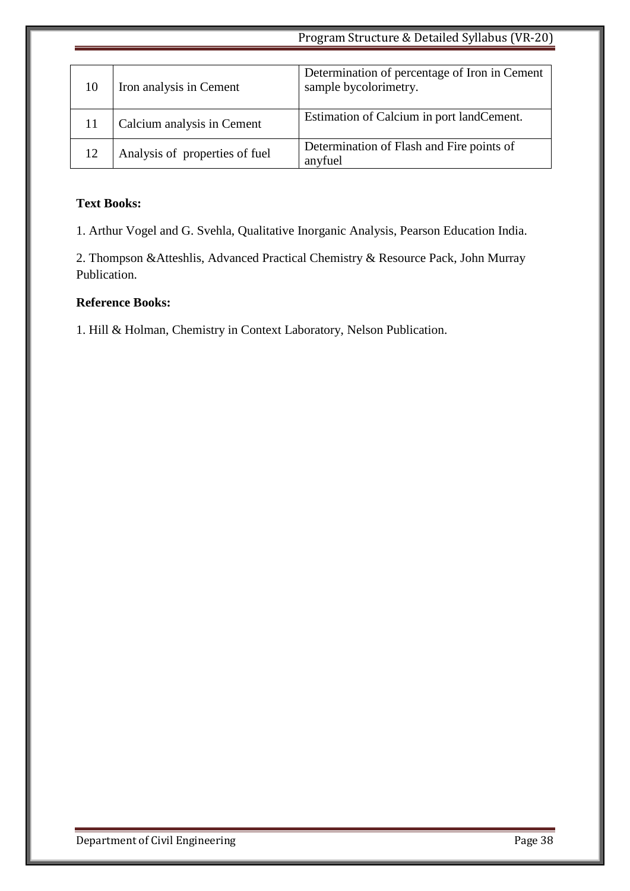|    | Program Structure & Detailed Syllabus (VR-20) |                                                                        |
|----|-----------------------------------------------|------------------------------------------------------------------------|
|    |                                               |                                                                        |
| 10 | Iron analysis in Cement                       | Determination of percentage of Iron in Cement<br>sample bycolorimetry. |
|    | Calcium analysis in Cement                    | Estimation of Calcium in port landCement.                              |
| 12 | Analysis of properties of fuel                | Determination of Flash and Fire points of<br>anyfuel                   |

### **Text Books:**

1. Arthur Vogel and G. Svehla, Qualitative Inorganic Analysis, Pearson Education India.

2. Thompson &Atteshlis, Advanced Practical Chemistry & Resource Pack, John Murray Publication.

### **Reference Books:**

1. Hill & Holman, Chemistry in Context Laboratory, Nelson Publication.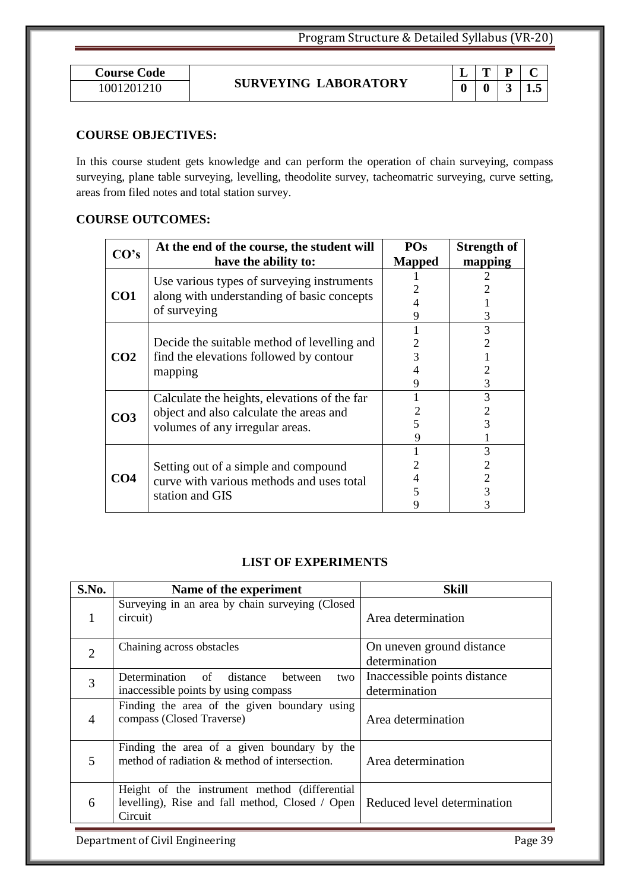| <b>Course Code</b> |  |
|--------------------|--|
| 1001201210         |  |

# **SURVEYING LABORATORY** 1001201210 **0 0 3 1.5**

|  | .5 |
|--|----|

### **COURSE OBJECTIVES:**

In this course student gets knowledge and can perform the operation of chain surveying, compass surveying, plane table surveying, levelling, theodolite survey, tacheomatric surveying, curve setting, areas from filed notes and total station survey.

### **COURSE OUTCOMES:**

| CO's            | At the end of the course, the student will   | <b>POs</b>    | <b>Strength of</b> |  |
|-----------------|----------------------------------------------|---------------|--------------------|--|
|                 | have the ability to:                         | <b>Mapped</b> | mapping            |  |
|                 | Use various types of surveying instruments   |               |                    |  |
| CO1             | along with understanding of basic concepts   |               |                    |  |
|                 | of surveying                                 |               |                    |  |
|                 |                                              |               |                    |  |
|                 |                                              |               | 3                  |  |
|                 | Decide the suitable method of levelling and  |               |                    |  |
| CO <sub>2</sub> | find the elevations followed by contour      |               |                    |  |
|                 | mapping                                      |               |                    |  |
|                 |                                              |               | 3                  |  |
|                 | Calculate the heights, elevations of the far |               | 3                  |  |
|                 | object and also calculate the areas and      |               |                    |  |
| CO <sub>3</sub> | volumes of any irregular areas.              |               |                    |  |
|                 |                                              |               |                    |  |
|                 |                                              |               |                    |  |
|                 | Setting out of a simple and compound         |               |                    |  |
| CO <sub>4</sub> | curve with various methods and uses total    |               |                    |  |
|                 | station and GIS                              |               |                    |  |
|                 |                                              |               |                    |  |

### **LIST OF EXPERIMENTS**

| S.No.          | Name of the experiment                                                                                       | <b>Skill</b>                                  |
|----------------|--------------------------------------------------------------------------------------------------------------|-----------------------------------------------|
|                | Surveying in an area by chain surveying (Closed<br>circuit)                                                  | Area determination                            |
| $\overline{2}$ | Chaining across obstacles                                                                                    | On uneven ground distance<br>determination    |
| $\overline{3}$ | Determination of distance between<br>two<br>inaccessible points by using compass                             | Inaccessible points distance<br>determination |
| $\overline{4}$ | Finding the area of the given boundary using<br>compass (Closed Traverse)                                    | Area determination                            |
| 5              | Finding the area of a given boundary by the<br>method of radiation & method of intersection.                 | Area determination                            |
| 6              | Height of the instrument method (differential)<br>levelling), Rise and fall method, Closed / Open<br>Circuit | Reduced level determination                   |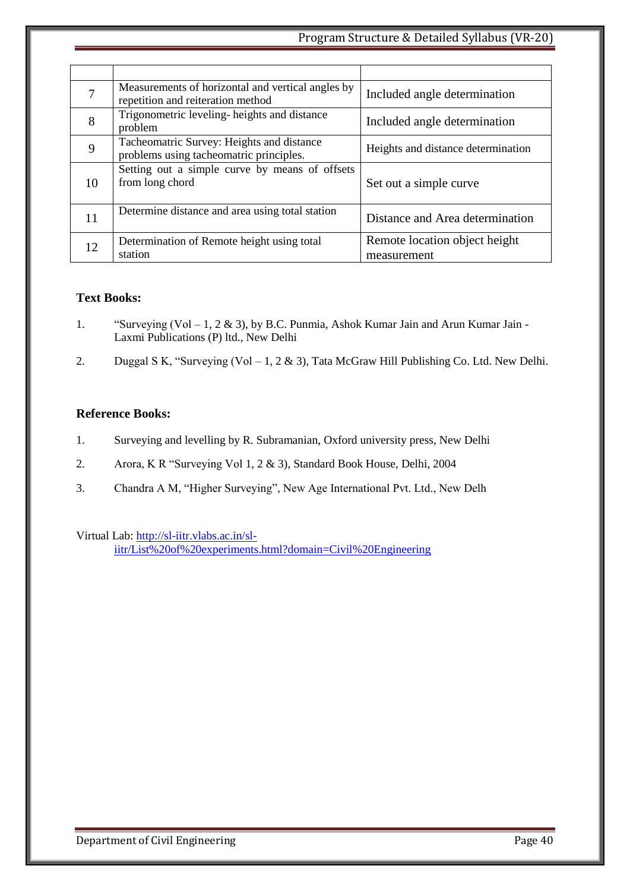| 7  | Measurements of horizontal and vertical angles by<br>repetition and reiteration method | Included angle determination                 |
|----|----------------------------------------------------------------------------------------|----------------------------------------------|
| 8  | Trigonometric leveling-heights and distance<br>problem                                 | Included angle determination                 |
| 9  | Tacheomatric Survey: Heights and distance<br>problems using tacheomatric principles.   | Heights and distance determination           |
| 10 | Setting out a simple curve by means of offsets<br>from long chord                      | Set out a simple curve                       |
| 11 | Determine distance and area using total station                                        | Distance and Area determination              |
| 12 | Determination of Remote height using total<br>station                                  | Remote location object height<br>measurement |

#### **Text Books:**

- 1. "Surveying (Vol 1, 2 & 3), by B.C. Punmia, Ashok Kumar Jain and Arun Kumar Jain -Laxmi Publications (P) ltd., New Delhi
- 2. Duggal S K, "Surveying (Vol 1, 2 & 3), Tata McGraw Hill Publishing Co. Ltd. New Delhi.

#### **Reference Books:**

- 1. Surveying and levelling by R. Subramanian, Oxford university press, New Delhi
- 2. Arora, K R "Surveying Vol 1, 2 & 3), Standard Book House, Delhi, 2004
- 3. Chandra A M, "Higher Surveying", New Age International Pvt. Ltd., New Delh

Virtual Lab: [http://sl-iitr.vlabs.ac.in/sl](http://sl-iitr.vlabs.ac.in/sl-iitr/List%20of%20experiments.html?domain=Civil%20Engineering)[iitr/List%20of%20experiments.html?domain=Civil%20Engineering](http://sl-iitr.vlabs.ac.in/sl-iitr/List%20of%20experiments.html?domain=Civil%20Engineering)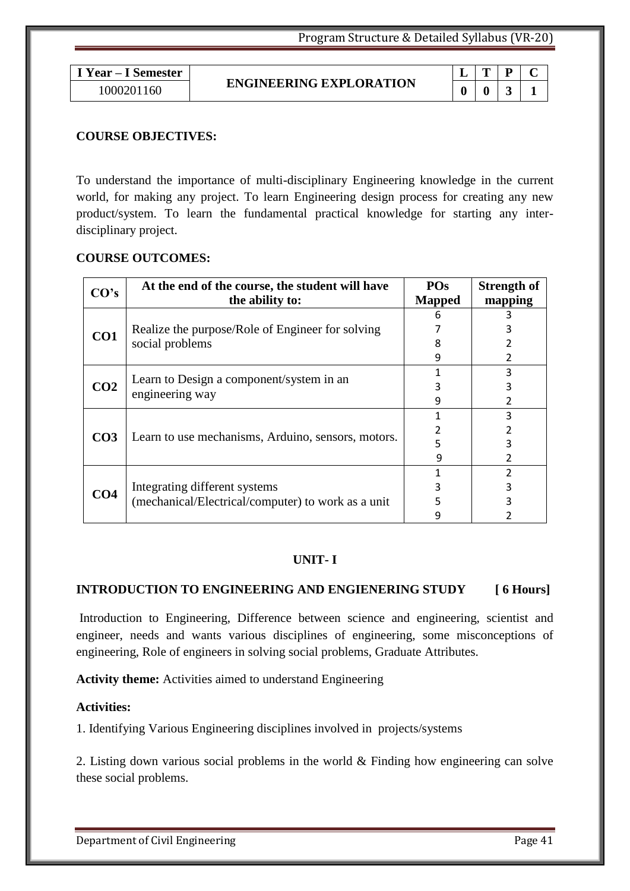**I Year – I Semester** 1000201160 **0 0 3 1**

#### **ENGINEERING EXPLORATION**

|   | ٠, |  |
|---|----|--|
| ı |    |  |

#### **COURSE OBJECTIVES:**

To understand the importance of multi-disciplinary Engineering knowledge in the current world, for making any project. To learn Engineering design process for creating any new product/system. To learn the fundamental practical knowledge for starting any interdisciplinary project.

#### **COURSE OUTCOMES:**

| CO's            | At the end of the course, the student will have    |               | <b>Strength of</b> |
|-----------------|----------------------------------------------------|---------------|--------------------|
|                 | the ability to:                                    | <b>Mapped</b> | mapping            |
|                 |                                                    |               |                    |
| CO1             | Realize the purpose/Role of Engineer for solving   |               | 3                  |
|                 | social problems                                    | 8             |                    |
|                 |                                                    | 9             | 2                  |
|                 |                                                    |               | 3                  |
| CO <sub>2</sub> | Learn to Design a component/system in an           |               | 3                  |
|                 | engineering way                                    | 9             | 2                  |
|                 |                                                    |               | 3                  |
|                 | Learn to use mechanisms, Arduino, sensors, motors. |               |                    |
| CO <sub>3</sub> |                                                    |               | 3                  |
|                 |                                                    | q             | 2                  |
|                 |                                                    |               | 2                  |
| CO <sub>4</sub> | Integrating different systems                      |               | 3                  |
|                 | (mechanical/Electrical/computer) to work as a unit |               | 3                  |
|                 |                                                    |               |                    |

#### **UNIT- I**

#### **INTRODUCTION TO ENGINEERING AND ENGIENERING STUDY [ 6 Hours]**

Introduction to Engineering, Difference between science and engineering, scientist and engineer, needs and wants various disciplines of engineering, some misconceptions of engineering, Role of engineers in solving social problems, Graduate Attributes.

**Activity theme:** Activities aimed to understand Engineering

#### **Activities:**

1. Identifying Various Engineering disciplines involved in projects/systems

2. Listing down various social problems in the world & Finding how engineering can solve these social problems.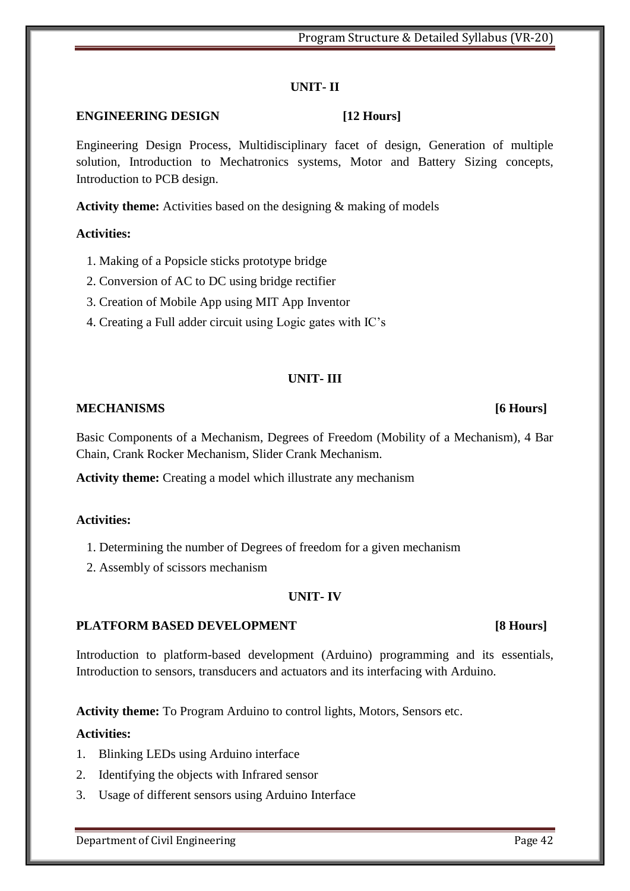### **UNIT- II**

### **ENGINEERING DESIGN [12 Hours]**

Engineering Design Process, Multidisciplinary facet of design, Generation of multiple solution, Introduction to Mechatronics systems, Motor and Battery Sizing concepts, Introduction to PCB design.

**Activity theme:** Activities based on the designing & making of models

#### **Activities:**

- 1. Making of a Popsicle sticks prototype bridge
- 2. Conversion of AC to DC using bridge rectifier
- 3. Creation of Mobile App using MIT App Inventor
- 4. Creating a Full adder circuit using Logic gates with IC's

#### **UNIT- III**

#### **MECHANISMS [6 Hours]**

Basic Components of a Mechanism, Degrees of Freedom (Mobility of a Mechanism), 4 Bar Chain, Crank Rocker Mechanism, Slider Crank Mechanism.

**Activity theme:** Creating a model which illustrate any mechanism

#### **Activities:**

- 1. Determining the number of Degrees of freedom for a given mechanism
- 2. Assembly of scissors mechanism

### **UNIT- IV**

#### **PLATFORM BASED DEVELOPMENT [8 Hours]**

Introduction to platform-based development (Arduino) programming and its essentials, Introduction to sensors, transducers and actuators and its interfacing with Arduino.

**Activity theme:** To Program Arduino to control lights, Motors, Sensors etc.

### **Activities:**

- 1. Blinking LEDs using Arduino interface
- 2. Identifying the objects with Infrared sensor
- 3. Usage of different sensors using Arduino Interface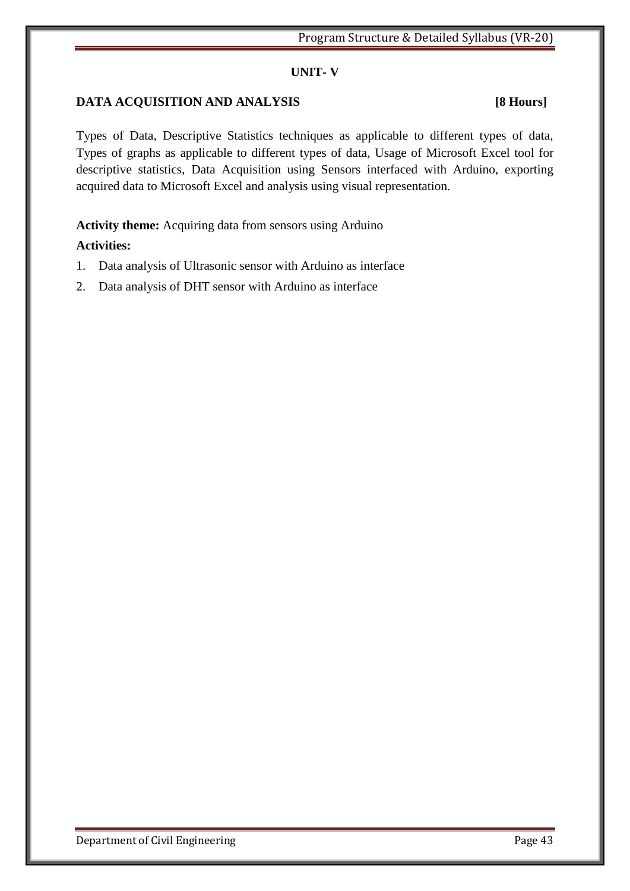#### **UNIT- V**

### **DATA ACQUISITION AND ANALYSIS [8 Hours]**

Types of Data, Descriptive Statistics techniques as applicable to different types of data, Types of graphs as applicable to different types of data, Usage of Microsoft Excel tool for descriptive statistics, Data Acquisition using Sensors interfaced with Arduino, exporting acquired data to Microsoft Excel and analysis using visual representation.

**Activity theme:** Acquiring data from sensors using Arduino

### **Activities:**

- 1. Data analysis of Ultrasonic sensor with Arduino as interface
- 2. Data analysis of DHT sensor with Arduino as interface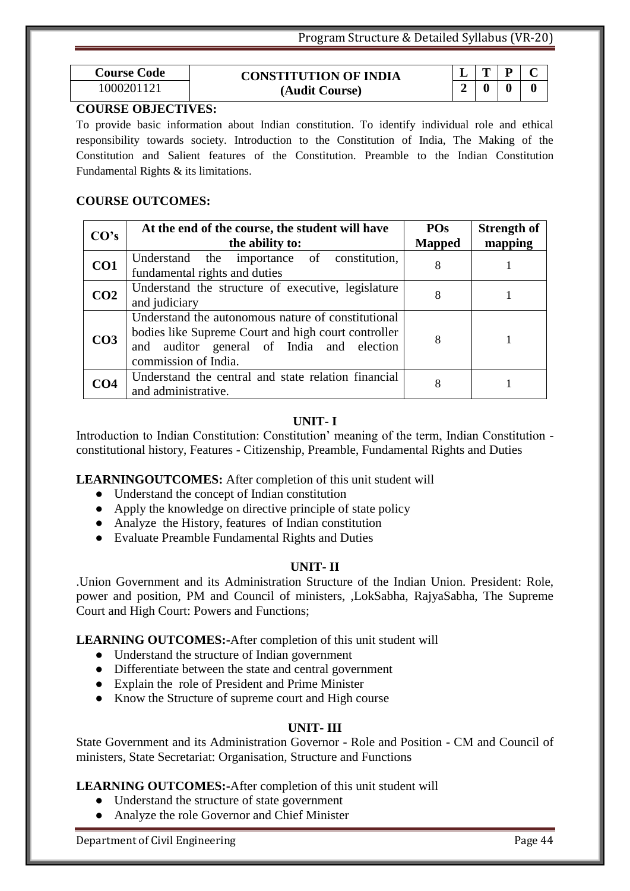| <b>Course Code</b> | <b>CONSTITUTION OF INDIA</b> | -      | m                |                  |   |  |
|--------------------|------------------------------|--------|------------------|------------------|---|--|
| 1000201121         | (Audit Course)               | $\sim$ | $\boldsymbol{0}$ | $\boldsymbol{0}$ | 0 |  |

#### **COURSE OBJECTIVES:**

To provide basic information about Indian constitution. To identify individual role and ethical responsibility towards society. Introduction to the Constitution of India, The Making of the Constitution and Salient features of the Constitution. Preamble to the Indian Constitution Fundamental Rights & its limitations.

#### **COURSE OUTCOMES:**

| CO's            | At the end of the course, the student will have<br>the ability to:                                                                                                             | <b>POs</b><br><b>Mapped</b> | <b>Strength of</b><br>mapping |
|-----------------|--------------------------------------------------------------------------------------------------------------------------------------------------------------------------------|-----------------------------|-------------------------------|
| CO1             | Understand the importance of constitution,<br>fundamental rights and duties                                                                                                    | 8                           |                               |
| CO <sub>2</sub> | Understand the structure of executive, legislature<br>and judiciary                                                                                                            | 8                           |                               |
| CO <sub>3</sub> | Understand the autonomous nature of constitutional<br>bodies like Supreme Court and high court controller<br>and auditor general of India and election<br>commission of India. | 8                           |                               |
| CO <sub>4</sub> | Understand the central and state relation financial<br>and administrative.                                                                                                     | 8                           |                               |

#### **UNIT- I**

Introduction to Indian Constitution: Constitution' meaning of the term, Indian Constitution constitutional history, Features - Citizenship, Preamble, Fundamental Rights and Duties

#### **LEARNINGOUTCOMES:** After completion of this unit student will

- Understand the concept of Indian constitution
- Apply the knowledge on directive principle of state policy
- Analyze the History, features of Indian constitution
- Evaluate Preamble Fundamental Rights and Duties

#### **UNIT- II**

.Union Government and its Administration Structure of the Indian Union. President: Role, power and position, PM and Council of ministers, ,LokSabha, RajyaSabha, The Supreme Court and High Court: Powers and Functions;

**LEARNING OUTCOMES:-**After completion of this unit student will

- Understand the structure of Indian government
- Differentiate between the state and central government
- Explain the role of President and Prime Minister
- Know the Structure of supreme court and High course

#### **UNIT- III**

State Government and its Administration Governor - Role and Position - CM and Council of ministers, State Secretariat: Organisation, Structure and Functions

#### **LEARNING OUTCOMES:-**After completion of this unit student will

- Understand the structure of state government
- Analyze the role Governor and Chief Minister